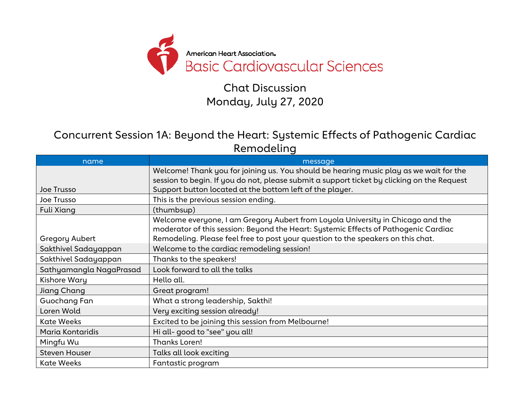

Chat Discussion Monday, July 27, 2020

Concurrent Session 1A: Beyond the Heart: Systemic Effects of Pathogenic Cardiac Remodeling

| name                    | message                                                                                    |
|-------------------------|--------------------------------------------------------------------------------------------|
|                         | Welcome! Thank you for joining us. You should be hearing music play as we wait for the     |
|                         | session to begin. If you do not, please submit a support ticket by clicking on the Request |
| Joe Trusso              | Support button located at the bottom left of the player.                                   |
| Joe Trusso              | This is the previous session ending.                                                       |
| Fuli Xiang              | (thumbsup)                                                                                 |
|                         | Welcome everyone, I am Gregory Aubert from Loyola University in Chicago and the            |
|                         | moderator of this session: Beyond the Heart: Systemic Effects of Pathogenic Cardiac        |
| Gregory Aubert          | Remodeling. Please feel free to post your question to the speakers on this chat.           |
| Sakthivel Sadayappan    | Welcome to the cardiac remodeling session!                                                 |
| Sakthivel Sadayappan    | Thanks to the speakers!                                                                    |
| Sathyamangla NagaPrasad | Look forward to all the talks                                                              |
| Kishore Wary            | Hello all.                                                                                 |
| Jiang Chang             | Great program!                                                                             |
| Guochang Fan            | What a strong leadership, Sakthi!                                                          |
| Loren Wold              | Very exciting session already!                                                             |
| <b>Kate Weeks</b>       | Excited to be joining this session from Melbourne!                                         |
| Maria Kontaridis        | Hi all-good to "see" you all!                                                              |
| Mingfu Wu               | Thanks Loren!                                                                              |
| <b>Steven Houser</b>    | Talks all look exciting                                                                    |
| <b>Kate Weeks</b>       | Fantastic program                                                                          |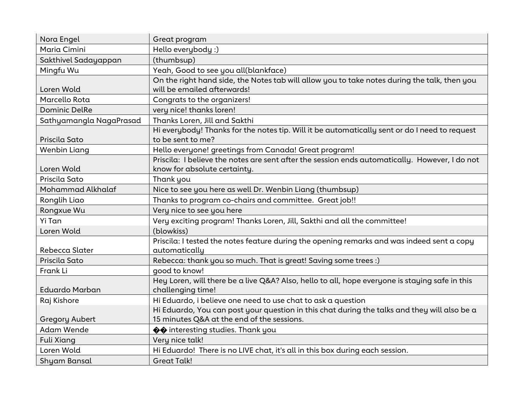| Nora Engel              | Great program                                                                                                                  |
|-------------------------|--------------------------------------------------------------------------------------------------------------------------------|
| Maria Cimini            | Hello everybody :)                                                                                                             |
| Sakthivel Sadayappan    | (thumbsup)                                                                                                                     |
| Mingfu Wu               | Yeah, Good to see you all(blankface)                                                                                           |
| Loren Wold              | On the right hand side, the Notes tab will allow you to take notes during the talk, then you<br>will be emailed afterwards!    |
| Marcello Rota           | Congrats to the organizers!                                                                                                    |
| <b>Dominic DelRe</b>    | very nice! thanks loren!                                                                                                       |
| Sathyamangla NagaPrasad | Thanks Loren, Jill and Sakthi                                                                                                  |
| Priscila Sato           | Hi everybody! Thanks for the notes tip. Will it be automatically sent or do I need to request<br>to be sent to me?             |
| Wenbin Liang            | Hello everyone! greetings from Canada! Great program!                                                                          |
| Loren Wold              | Priscila: I believe the notes are sent after the session ends automatically. However, I do not<br>know for absolute certainty. |
| Priscila Sato           | Thank you                                                                                                                      |
| Mohammad Alkhalaf       | Nice to see you here as well Dr. Wenbin Liang (thumbsup)                                                                       |
| Ronglih Liao            | Thanks to program co-chairs and committee. Great job!!                                                                         |
| Rongxue Wu              | Very nice to see you here                                                                                                      |
| Yi Tan                  | Very exciting program! Thanks Loren, Jill, Sakthi and all the committee!                                                       |
| Loren Wold              | (blowkiss)                                                                                                                     |
| Rebecca Slater          | Priscila: I tested the notes feature during the opening remarks and was indeed sent a copy<br>automatically                    |
| Priscila Sato           | Rebecca: thank you so much. That is great! Saving some trees :)                                                                |
| Frank Li                | good to know!                                                                                                                  |
|                         | Hey Loren, will there be a live Q&A? Also, hello to all, hope everyone is staying safe in this                                 |
| <b>Eduardo Marban</b>   | challenging time!                                                                                                              |
| Raj Kishore             | Hi Eduardo, i believe one need to use chat to ask a question                                                                   |
|                         | Hi Eduardo, You can post your question in this chat during the talks and they will also be a                                   |
| <b>Gregory Aubert</b>   | 15 minutes Q&A at the end of the sessions.                                                                                     |
| <b>Adam Wende</b>       | ♦ interesting studies. Thank you                                                                                               |
| <b>Fuli Xiang</b>       | Very nice talk!                                                                                                                |
| Loren Wold              | Hi Eduardo! There is no LIVE chat, it's all in this box during each session.                                                   |
| Shyam Bansal            | <b>Great Talk!</b>                                                                                                             |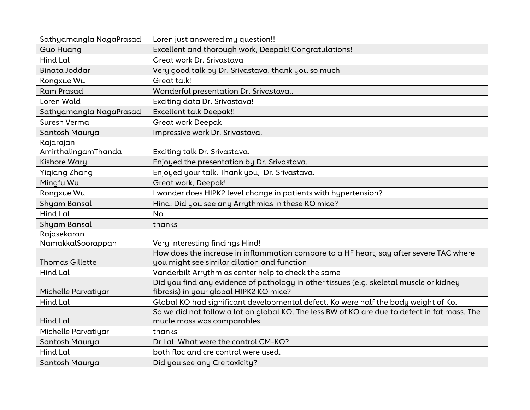| Sathyamangla NagaPrasad | Loren just answered my question!!                                                                                                  |
|-------------------------|------------------------------------------------------------------------------------------------------------------------------------|
| <b>Guo Huang</b>        | Excellent and thorough work, Deepak! Congratulations!                                                                              |
| Hind Lal                | Great work Dr. Srivastava                                                                                                          |
| Binata Joddar           | Very good talk by Dr. Srivastava. thank you so much                                                                                |
| Rongxue Wu              | Great talk!                                                                                                                        |
| <b>Ram Prasad</b>       | Wonderful presentation Dr. Srivastava                                                                                              |
| Loren Wold              | Exciting data Dr. Srivastava!                                                                                                      |
| Sathyamangla NagaPrasad | <b>Excellent talk Deepak!!</b>                                                                                                     |
| Suresh Verma            | <b>Great work Deepak</b>                                                                                                           |
| Santosh Maurya          | Impressive work Dr. Srivastava.                                                                                                    |
| Rajarajan               |                                                                                                                                    |
| AmirthalingamThanda     | Exciting talk Dr. Srivastava.                                                                                                      |
| Kishore Wary            | Enjoyed the presentation by Dr. Srivastava.                                                                                        |
| <b>Yigiang Zhang</b>    | Enjoyed your talk. Thank you, Dr. Srivastava.                                                                                      |
| Mingfu Wu               | Great work, Deepak!                                                                                                                |
| Rongxue Wu              | I wonder does HIPK2 level change in patients with hypertension?                                                                    |
| Shyam Bansal            | Hind: Did you see any Arrythmias in these KO mice?                                                                                 |
| Hind Lal                | <b>No</b>                                                                                                                          |
| Shyam Bansal            | thanks                                                                                                                             |
| Rajasekaran             |                                                                                                                                    |
| NamakkalSoorappan       | Very interesting findings Hind!                                                                                                    |
|                         | How does the increase in inflammation compare to a HF heart, say after severe TAC where                                            |
| <b>Thomas Gillette</b>  | you might see similar dilation and function                                                                                        |
| Hind Lal                | Vanderbilt Arrythmias center help to check the same                                                                                |
| Michelle Parvatiyar     | Did you find any evidence of pathology in other tissues (e.g. skeletal muscle or kidney<br>fibrosis) in your global HIPK2 KO mice? |
| Hind Lal                | Global KO had significant developmental defect. Ko were half the body weight of Ko.                                                |
|                         | So we did not follow a lot on global KO. The less BW of KO are due to defect in fat mass. The                                      |
| Hind Lal                | mucle mass was comparables.                                                                                                        |
| Michelle Parvatiyar     | thanks                                                                                                                             |
| Santosh Maurya          | Dr Lal: What were the control CM-KO?                                                                                               |
| Hind Lal                | both floc and cre control were used.                                                                                               |
| Santosh Maurya          | Did you see any Cre toxicity?                                                                                                      |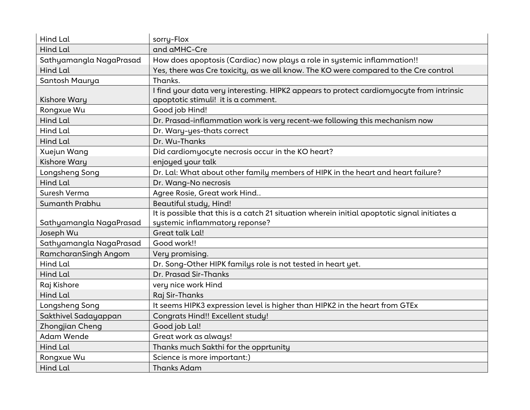| Hind Lal                | sorry-Flox                                                                                                                      |
|-------------------------|---------------------------------------------------------------------------------------------------------------------------------|
| <b>Hind Lal</b>         | and aMHC-Cre                                                                                                                    |
| Sathyamangla NagaPrasad | How does apoptosis (Cardiac) now plays a role in systemic inflammation!!                                                        |
| Hind Lal                | Yes, there was Cre toxicity, as we all know. The KO were compared to the Cre control                                            |
| Santosh Maurya          | Thanks.                                                                                                                         |
| <b>Kishore Wary</b>     | I find your data very interesting. HIPK2 appears to protect cardiomyocyte from intrinsic<br>apoptotic stimuli! it is a comment. |
| Rongxue Wu              | Good job Hind!                                                                                                                  |
| Hind Lal                | Dr. Prasad-inflammation work is very recent-we following this mechanism now                                                     |
| Hind Lal                | Dr. Wary-yes-thats correct                                                                                                      |
| Hind Lal                | Dr. Wu-Thanks                                                                                                                   |
| Xuejun Wang             | Did cardiomyocyte necrosis occur in the KO heart?                                                                               |
| <b>Kishore Wary</b>     | enjoyed your talk                                                                                                               |
| Longsheng Song          | Dr. Lal: What about other family members of HIPK in the heart and heart failure?                                                |
| <b>Hind Lal</b>         | Dr. Wang-No necrosis                                                                                                            |
| Suresh Verma            | Agree Rosie, Great work Hind                                                                                                    |
| Sumanth Prabhu          | Beautiful study, Hind!                                                                                                          |
|                         | It is possible that this is a catch 21 situation wherein initial apoptotic signal initiates a                                   |
| Sathyamangla NagaPrasad | systemic inflammatory reponse?                                                                                                  |
| Joseph Wu               | Great talk Lal!                                                                                                                 |
| Sathyamangla NagaPrasad | Good work!!                                                                                                                     |
| RamcharanSingh Angom    | Very promising.                                                                                                                 |
| <b>Hind Lal</b>         | Dr. Song-Other HIPK familys role is not tested in heart yet.                                                                    |
| <b>Hind Lal</b>         | Dr. Prasad Sir-Thanks                                                                                                           |
| Raj Kishore             | very nice work Hind                                                                                                             |
| <b>Hind Lal</b>         | Raj Sir-Thanks                                                                                                                  |
| Longsheng Song          | It seems HIPK3 expression level is higher than HIPK2 in the heart from GTEx                                                     |
| Sakthivel Sadayappan    | <b>Congrats Hind!! Excellent study!</b>                                                                                         |
| Zhongjian Cheng         | Good job Lal!                                                                                                                   |
| <b>Adam Wende</b>       | Great work as always!                                                                                                           |
| Hind Lal                | Thanks much Sakthi for the opprtunity                                                                                           |
| Rongxue Wu              | Science is more important:)                                                                                                     |
| Hind Lal                | <b>Thanks Adam</b>                                                                                                              |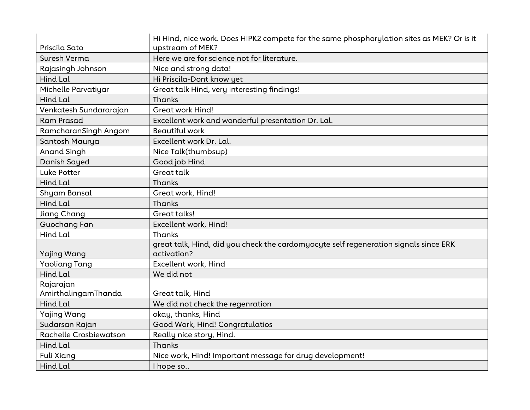|                        | Hi Hind, nice work. Does HIPK2 compete for the same phosphorylation sites as MEK? Or is it          |
|------------------------|-----------------------------------------------------------------------------------------------------|
| Priscila Sato          | upstream of MEK?                                                                                    |
| Suresh Verma           | Here we are for science not for literature.                                                         |
| Rajasingh Johnson      | Nice and strong data!                                                                               |
| Hind Lal               | Hi Priscila-Dont know yet                                                                           |
| Michelle Parvatiyar    | Great talk Hind, very interesting findings!                                                         |
| <b>Hind Lal</b>        | Thanks                                                                                              |
| Venkatesh Sundararajan | <b>Great work Hind!</b>                                                                             |
| <b>Ram Prasad</b>      | Excellent work and wonderful presentation Dr. Lal.                                                  |
| RamcharanSingh Angom   | <b>Beautiful work</b>                                                                               |
| Santosh Maurya         | Excellent work Dr. Lal.                                                                             |
| <b>Anand Singh</b>     | Nice Talk(thumbsup)                                                                                 |
| Danish Sayed           | Good job Hind                                                                                       |
| Luke Potter            | Great talk                                                                                          |
| Hind Lal               | Thanks                                                                                              |
| Shyam Bansal           | Great work, Hind!                                                                                   |
| <b>Hind Lal</b>        | Thanks                                                                                              |
| Jiang Chang            | Great talks!                                                                                        |
| Guochang Fan           | Excellent work, Hind!                                                                               |
| Hind Lal               | Thanks                                                                                              |
| Yajing Wang            | great talk, Hind, did you check the cardomyocyte self regeneration signals since ERK<br>activation? |
| <b>Yaoliang Tang</b>   | Excellent work, Hind                                                                                |
| Hind Lal               | We did not                                                                                          |
| Rajarajan              |                                                                                                     |
| AmirthalingamThanda    | Great talk, Hind                                                                                    |
| Hind Lal               | We did not check the regenration                                                                    |
| <b>Yajing Wang</b>     | okay, thanks, Hind                                                                                  |
| Sudarsan Rajan         | Good Work, Hind! Congratulatios                                                                     |
| Rachelle Crosbiewatson | Really nice story, Hind.                                                                            |
| Hind Lal               | Thanks                                                                                              |
| <b>Fuli Xiang</b>      | Nice work, Hind! Important message for drug development!                                            |
| Hind Lal               | I hope so                                                                                           |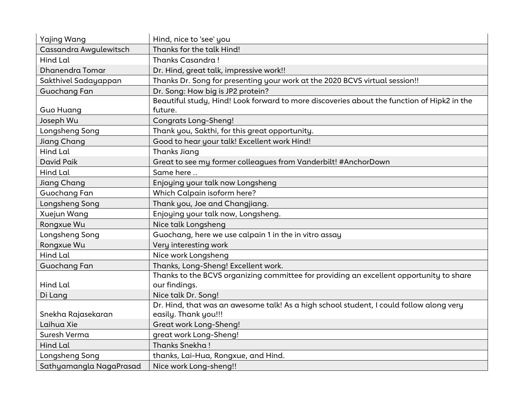| <b>Yajing Wang</b>      | Hind, nice to 'see' you                                                                    |
|-------------------------|--------------------------------------------------------------------------------------------|
| Cassandra Awgulewitsch  | Thanks for the talk Hind!                                                                  |
| Hind Lal                | Thanks Casandra!                                                                           |
| Dhanendra Tomar         | Dr. Hind, great talk, impressive work!!                                                    |
| Sakthivel Sadayappan    | Thanks Dr. Song for presenting your work at the 2020 BCVS virtual session!!                |
| Guochang Fan            | Dr. Song: How big is JP2 protein?                                                          |
|                         | Beautiful study, Hind! Look forward to more discoveries about the function of Hipk2 in the |
| <b>Guo Huang</b>        | future.                                                                                    |
| Joseph Wu               | <b>Congrats Long-Sheng!</b>                                                                |
| Longsheng Song          | Thank you, Sakthi, for this great opportunity.                                             |
| <b>Jiang Chang</b>      | Good to hear your talk! Excellent work Hind!                                               |
| <b>Hind Lal</b>         | <b>Thanks Jiang</b>                                                                        |
| David Paik              | Great to see my former colleagues from Vanderbilt! #AnchorDown                             |
| Hind Lal                | Same here                                                                                  |
| <b>Jiang Chang</b>      | Enjoying your talk now Longsheng                                                           |
| Guochang Fan            | Which Calpain isoform here?                                                                |
| Longsheng Song          | Thank you, Joe and Changjiang.                                                             |
| Xuejun Wang             | Enjoying your talk now, Longsheng.                                                         |
| Rongxue Wu              | Nice talk Longsheng                                                                        |
| Longsheng Song          | Guochang, here we use calpain 1 in the in vitro assay                                      |
| Rongxue Wu              | Very interesting work                                                                      |
| Hind Lal                | Nice work Longsheng                                                                        |
| Guochang Fan            | Thanks, Long-Sheng! Excellent work.                                                        |
|                         | Thanks to the BCVS organizing committee for providing an excellent opportunity to share    |
| Hind Lal                | our findings.                                                                              |
| Di Lang                 | Nice talk Dr. Song!                                                                        |
|                         | Dr. Hind, that was an awesome talk! As a high school student, I could follow along very    |
| Snekha Rajasekaran      | easily. Thank you!!!                                                                       |
| Laihua Xie              | Great work Long-Sheng!                                                                     |
| Suresh Verma            | great work Long-Sheng!                                                                     |
| Hind Lal                | Thanks Snekha!                                                                             |
| Longsheng Song          | thanks, Lai-Hua, Rongxue, and Hind.                                                        |
| Sathyamangla NagaPrasad | Nice work Long-sheng!!                                                                     |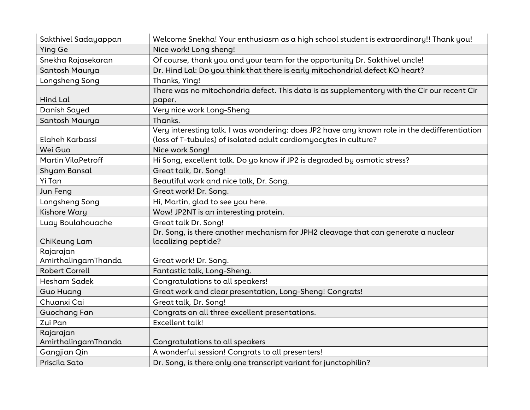| Sakthivel Sadayappan      | Welcome Snekha! Your enthusiasm as a high school student is extraordinary!! Thank you!        |
|---------------------------|-----------------------------------------------------------------------------------------------|
| <b>Ying Ge</b>            | Nice work! Long sheng!                                                                        |
| Snekha Rajasekaran        | Of course, thank you and your team for the opportunity Dr. Sakthivel uncle!                   |
| Santosh Maurya            | Dr. Hind Lal: Do you think that there is early mitochondrial defect KO heart?                 |
| Longsheng Song            | Thanks, Ying!                                                                                 |
|                           | There was no mitochondria defect. This data is as supplementory with the Cir our recent Cir   |
| <b>Hind Lal</b>           | paper.                                                                                        |
| Danish Sayed              | Very nice work Long-Sheng                                                                     |
| Santosh Maurya            | Thanks.                                                                                       |
|                           | Very interesting talk. I was wondering: does JP2 have any known role in the dedifferentiation |
| Elaheh Karbassi           | (loss of T-tubules) of isolated adult cardiomyocytes in culture?                              |
| Wei Guo                   | Nice work Song!                                                                               |
| <b>Martin VilaPetroff</b> | Hi Song, excellent talk. Do yo know if JP2 is degraded by osmotic stress?                     |
| <b>Shyam Bansal</b>       | Great talk, Dr. Song!                                                                         |
| Yi Tan                    | Beautiful work and nice talk, Dr. Song.                                                       |
| Jun Feng                  | Great work! Dr. Song.                                                                         |
| Longsheng Song            | Hi, Martin, glad to see you here.                                                             |
| <b>Kishore Wary</b>       | Wow! JP2NT is an interesting protein.                                                         |
| Luay Boulahouache         | Great talk Dr. Song!                                                                          |
|                           | Dr. Song, is there another mechanism for JPH2 cleavage that can generate a nuclear            |
| ChiKeung Lam              | localizing peptide?                                                                           |
| Rajarajan                 |                                                                                               |
| AmirthalingamThanda       | Great work! Dr. Song.                                                                         |
| <b>Robert Correll</b>     | Fantastic talk, Long-Sheng.                                                                   |
| Hesham Sadek              | Congratulations to all speakers!                                                              |
| <b>Guo Huang</b>          | Great work and clear presentation, Long-Sheng! Congrats!                                      |
| Chuanxi Cai               | Great talk, Dr. Song!                                                                         |
| Guochang Fan              | Congrats on all three excellent presentations.                                                |
| Zui Pan                   | <b>Excellent talk!</b>                                                                        |
| Rajarajan                 |                                                                                               |
| AmirthalingamThanda       | Congratulations to all speakers                                                               |
| Gangjian Qin              | A wonderful session! Congrats to all presenters!                                              |
| Priscila Sato             | Dr. Song, is there only one transcript variant for junctophilin?                              |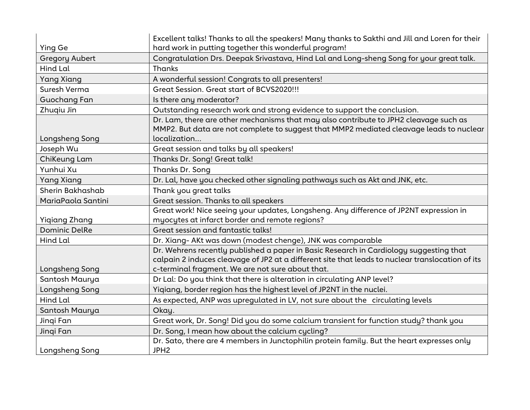|                       | Excellent talks! Thanks to all the speakers! Many thanks to Sakthi and Jill and Loren for their                                                                                                                                                |
|-----------------------|------------------------------------------------------------------------------------------------------------------------------------------------------------------------------------------------------------------------------------------------|
| Ying Ge               | hard work in putting together this wonderful program!                                                                                                                                                                                          |
| <b>Gregory Aubert</b> | Congratulation Drs. Deepak Srivastava, Hind Lal and Long-sheng Song for your great talk.                                                                                                                                                       |
| Hind Lal              | Thanks                                                                                                                                                                                                                                         |
| <b>Yang Xiang</b>     | A wonderful session! Congrats to all presenters!                                                                                                                                                                                               |
| Suresh Verma          | Great Session. Great start of BCVS2020!!!                                                                                                                                                                                                      |
| Guochang Fan          | Is there any moderator?                                                                                                                                                                                                                        |
| Zhuqiu Jin            | Outstanding research work and strong evidence to support the conclusion.                                                                                                                                                                       |
| Longsheng Song        | Dr. Lam, there are other mechanisms that may also contribute to JPH2 cleavage such as<br>MMP2. But data are not complete to suggest that MMP2 mediated cleavage leads to nuclear<br>localization                                               |
| Joseph Wu             | Great session and talks by all speakers!                                                                                                                                                                                                       |
| ChiKeung Lam          | Thanks Dr. Song! Great talk!                                                                                                                                                                                                                   |
| Yunhui Xu             | Thanks Dr. Song                                                                                                                                                                                                                                |
| <b>Yang Xiang</b>     | Dr. Lal, have you checked other signaling pathways such as Akt and JNK, etc.                                                                                                                                                                   |
| Sherin Bakhashab      | Thank you great talks                                                                                                                                                                                                                          |
| MariaPaola Santini    | Great session. Thanks to all speakers                                                                                                                                                                                                          |
| <b>Yigiang Zhang</b>  | Great work! Nice seeing your updates, Longsheng. Any difference of JP2NT expression in<br>myocytes at infarct border and remote regions?                                                                                                       |
| <b>Dominic DelRe</b>  | Great session and fantastic talks!                                                                                                                                                                                                             |
| Hind Lal              | Dr. Xiang- AKt was down (modest chenge), JNK was comparable                                                                                                                                                                                    |
| Longsheng Song        | Dr. Wehrens recently published a paper in Basic Research in Cardiology suggesting that<br>calpain 2 induces cleavage of JP2 at a different site that leads to nuclear translocation of its<br>c-terminal fragment. We are not sure about that. |
| Santosh Maurya        | Dr Lal: Do you think that there is alteration in circulating ANP level?                                                                                                                                                                        |
| Longsheng Song        | Yigiang, border region has the highest level of JP2NT in the nuclei.                                                                                                                                                                           |
| Hind Lal              | As expected, ANP was upregulated in LV, not sure about the circulating levels                                                                                                                                                                  |
| Santosh Maurya        | Okay.                                                                                                                                                                                                                                          |
| Jingi Fan             | Great work, Dr. Song! Did you do some calcium transient for function study? thank you                                                                                                                                                          |
| Jingi Fan             | Dr. Song, I mean how about the calcium cycling?                                                                                                                                                                                                |
| Longsheng Song        | Dr. Sato, there are 4 members in Junctophilin protein family. But the heart expresses only<br>JPH <sub>2</sub>                                                                                                                                 |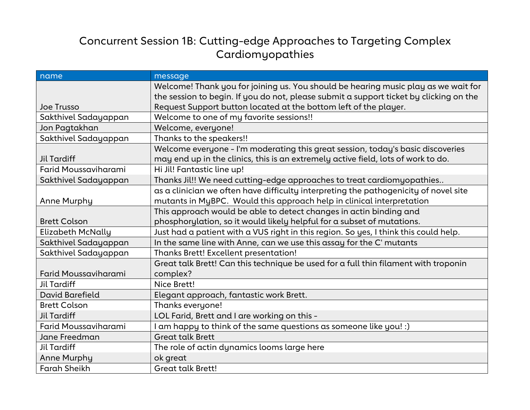### Concurrent Session 1B: Cutting-edge Approaches to Targeting Complex Cardiomyopathies

| name                        | message                                                                                |
|-----------------------------|----------------------------------------------------------------------------------------|
|                             | Welcome! Thank you for joining us. You should be hearing music play as we wait for     |
|                             | the session to begin. If you do not, please submit a support ticket by clicking on the |
| Joe Trusso                  | Request Support button located at the bottom left of the player.                       |
| Sakthivel Sadayappan        | Welcome to one of my favorite sessions!!                                               |
| Jon Pagtakhan               | Welcome, everyone!                                                                     |
| Sakthivel Sadayappan        | Thanks to the speakers!!                                                               |
|                             | Welcome everyone - I'm moderating this great session, today's basic discoveries        |
| <b>Jil Tardiff</b>          | may end up in the clinics, this is an extremely active field, lots of work to do.      |
| Farid Moussaviharami        | Hi Jil! Fantastic line up!                                                             |
| Sakthivel Sadayappan        | Thanks Jil!! We need cutting-edge approaches to treat cardiomyopathies                 |
|                             | as a clinician we often have difficulty interpreting the pathogenicity of novel site   |
| Anne Murphy                 | mutants in MyBPC. Would this approach help in clinical interpretation                  |
|                             | This approach would be able to detect changes in actin binding and                     |
| <b>Brett Colson</b>         | phosphorylation, so it would likely helpful for a subset of mutations.                 |
| Elizabeth McNally           | Just had a patient with a VUS right in this region. So yes, I think this could help.   |
| Sakthivel Sadayappan        | In the same line with Anne, can we use this assay for the C' mutants                   |
| Sakthivel Sadayappan        | Thanks Brett! Excellent presentation!                                                  |
|                             | Great talk Brett! Can this technique be used for a full thin filament with troponin    |
| <b>Farid Moussaviharami</b> | complex?                                                                               |
| <b>Jil Tardiff</b>          | Nice Brett!                                                                            |
| <b>David Barefield</b>      | Elegant approach, fantastic work Brett.                                                |
| <b>Brett Colson</b>         | Thanks everyone!                                                                       |
| <b>Jil Tardiff</b>          | LOL Farid, Brett and I are working on this -                                           |
| Farid Moussaviharami        | am happy to think of the same questions as someone like you! :)                        |
| Jane Freedman               | <b>Great talk Brett</b>                                                                |
| <b>Jil Tardiff</b>          | The role of actin dynamics looms large here                                            |
| <b>Anne Murphy</b>          | ok great                                                                               |
| <b>Farah Sheikh</b>         | <b>Great talk Brett!</b>                                                               |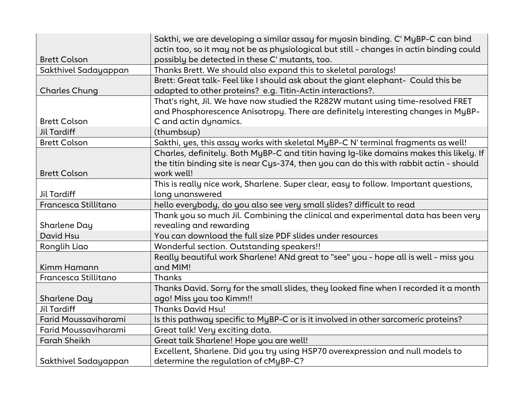|                      | Sakthi, we are developing a similar assay for myosin binding. C' MyBP-C can bind        |
|----------------------|-----------------------------------------------------------------------------------------|
|                      | actin too, so it may not be as physiological but still - changes in actin binding could |
| <b>Brett Colson</b>  | possibly be detected in these C' mutants, too.                                          |
| Sakthivel Sadayappan | Thanks Brett. We should also expand this to skeletal paralogs!                          |
|                      | Brett: Great talk-Feel like I should ask about the giant elephant- Could this be        |
| <b>Charles Chung</b> | adapted to other proteins? e.g. Titin-Actin interactions?.                              |
|                      | That's right, Jil. We have now studied the R282W mutant using time-resolved FRET        |
|                      | and Phosphorescence Anisotropy. There are definitely interesting changes in MyBP-       |
| <b>Brett Colson</b>  | C and actin dynamics.                                                                   |
| Jil Tardiff          | (thumbsup)                                                                              |
| <b>Brett Colson</b>  | Sakthi, yes, this assay works with skeletal MyBP-C N' terminal fragments as well!       |
|                      | Charles, definitely. Both MyBP-C and titin having Ig-like domains makes this likely. If |
|                      | the titin binding site is near Cys-374, then you can do this with rabbit actin - should |
| <b>Brett Colson</b>  | work well!                                                                              |
|                      | This is really nice work, Sharlene. Super clear, easy to follow. Important questions,   |
| Jil Tardiff          | long unanswered                                                                         |
| Francesca Stillitano | hello everybody, do you also see very small slides? difficult to read                   |
|                      | Thank you so much Jil. Combining the clinical and experimental data has been very       |
| Sharlene Day         | revealing and rewarding                                                                 |
| David Hsu            | You can download the full size PDF slides under resources                               |
| Ronglih Liao         | Wonderful section. Outstanding speakers!!                                               |
|                      | Really beautiful work Sharlene! ANd great to "see" you - hope all is well - miss you    |
| Kimm Hamann          | and MIM!                                                                                |
| Francesca Stillitano | Thanks                                                                                  |
|                      | Thanks David. Sorry for the small slides, they looked fine when I recorded it a month   |
| Sharlene Day         | ago! Miss you too Kimm!!                                                                |
| <b>Jil Tardiff</b>   | <b>Thanks David Hsu!</b>                                                                |
| Farid Moussaviharami | Is this pathway specific to MyBP-C or is it involved in other sarcomeric proteins?      |
| Farid Moussaviharami | Great talk! Very exciting data.                                                         |
| <b>Farah Sheikh</b>  | Great talk Sharlene! Hope you are well!                                                 |
|                      | Excellent, Sharlene. Did you try using HSP70 overexpression and null models to          |
| Sakthivel Sadayappan | determine the regulation of cMyBP-C?                                                    |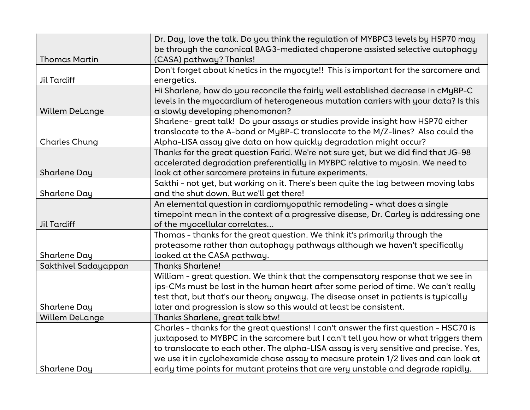|                       | Dr. Day, love the talk. Do you think the regulation of MYBPC3 levels by HSP70 may<br>be through the canonical BAG3-mediated chaperone assisted selective autophagy |
|-----------------------|--------------------------------------------------------------------------------------------------------------------------------------------------------------------|
| <b>Thomas Martin</b>  | (CASA) pathway? Thanks!                                                                                                                                            |
|                       | Don't forget about kinetics in the myocyte!! This is important for the sarcomere and                                                                               |
| <b>Jil Tardiff</b>    | energetics.                                                                                                                                                        |
|                       | Hi Sharlene, how do you reconcile the fairly well established decrease in cMyBP-C                                                                                  |
|                       | levels in the myocardium of heterogeneous mutation carriers with your data? Is this                                                                                |
| <b>Willem DeLange</b> | a slowly developing phenomonon?                                                                                                                                    |
|                       | Sharlene- great talk! Do your assays or studies provide insight how HSP70 either                                                                                   |
|                       | translocate to the A-band or MyBP-C translocate to the M/Z-lines? Also could the                                                                                   |
| <b>Charles Chung</b>  | Alpha-LISA assay give data on how quickly degradation might occur?                                                                                                 |
|                       | Thanks for the great question Farid. We're not sure yet, but we did find that JG-98                                                                                |
|                       | accelerated degradation preferentially in MYBPC relative to myosin. We need to                                                                                     |
| <b>Sharlene Day</b>   | look at other sarcomere proteins in future experiments.                                                                                                            |
|                       | Sakthi - not yet, but working on it. There's been quite the lag between moving labs                                                                                |
| Sharlene Day          | and the shut down. But we'll get there!                                                                                                                            |
|                       | An elemental question in cardiomyopathic remodeling - what does a single                                                                                           |
|                       | timepoint mean in the context of a progressive disease, Dr. Carley is addressing one                                                                               |
| <b>Jil Tardiff</b>    | of the myocellular correlates                                                                                                                                      |
|                       | Thomas - thanks for the great question. We think it's primarily through the                                                                                        |
|                       | proteasome rather than autophagy pathways although we haven't specifically                                                                                         |
| Sharlene Day          | looked at the CASA pathway.                                                                                                                                        |
| Sakthivel Sadayappan  | <b>Thanks Sharlene!</b>                                                                                                                                            |
|                       | William - great question. We think that the compensatory response that we see in                                                                                   |
|                       | ips-CMs must be lost in the human heart after some period of time. We can't really                                                                                 |
|                       | test that, but that's our theory anyway. The disease onset in patients is typically                                                                                |
| Sharlene Day          | later and progression is slow so this would at least be consistent.                                                                                                |
| <b>Willem DeLange</b> | Thanks Sharlene, great talk btw!                                                                                                                                   |
|                       | Charles - thanks for the great questions! I can't answer the first question - HSC70 is                                                                             |
|                       | juxtaposed to MYBPC in the sarcomere but I can't tell you how or what triggers them                                                                                |
|                       | to translocate to each other. The alpha-LISA assay is very sensitive and precise. Yes,                                                                             |
|                       | we use it in cyclohexamide chase assay to measure protein 1/2 lives and can look at                                                                                |
| Sharlene Day          | early time points for mutant proteins that are very unstable and degrade rapidly.                                                                                  |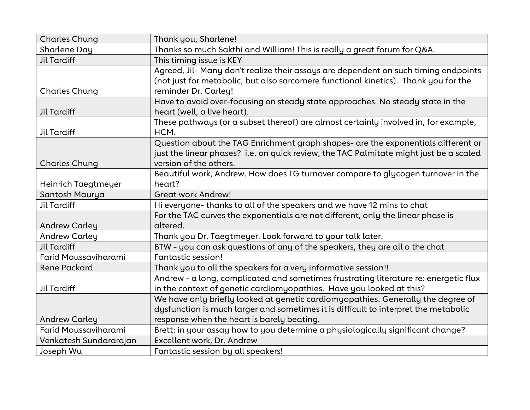| <b>Charles Chung</b>        | Thank you, Sharlene!                                                                   |
|-----------------------------|----------------------------------------------------------------------------------------|
| Sharlene Day                | Thanks so much Sakthi and William! This is really a great forum for Q&A.               |
| <b>Jil Tardiff</b>          | This timing issue is KEY                                                               |
|                             | Agreed, Jil- Many don't realize their assays are dependent on such timing endpoints    |
|                             | (not just for metabolic, but also sarcomere functional kinetics). Thank you for the    |
| <b>Charles Chung</b>        | reminder Dr. Carley!                                                                   |
|                             | Have to avoid over-focusing on steady state approaches. No steady state in the         |
| <b>Jil Tardiff</b>          | heart (well, a live heart).                                                            |
|                             | These pathways (or a subset thereof) are almost certainly involved in, for example,    |
| <b>Jil Tardiff</b>          | HCM.                                                                                   |
|                             | Question about the TAG Enrichment graph shapes- are the exponentials different or      |
|                             | just the linear phases? i.e. on quick review, the TAC Palmitate might just be a scaled |
| <b>Charles Chung</b>        | version of the others.                                                                 |
|                             | Beautiful work, Andrew. How does TG turnover compare to glycogen turnover in the       |
| Heinrich Taegtmeyer         | heart?                                                                                 |
| Santosh Maurya              | <b>Great work Andrew!</b>                                                              |
| <b>Jil Tardiff</b>          | Hi everyone-thanks to all of the speakers and we have 12 mins to chat                  |
|                             | For the TAC curves the exponentials are not different, only the linear phase is        |
| <b>Andrew Carley</b>        | altered.                                                                               |
| <b>Andrew Carley</b>        | Thank you Dr. Taegtmeyer. Look forward to your talk later.                             |
| Jil Tardiff                 | BTW - you can ask questions of any of the speakers, they are all o the chat            |
| <b>Farid Moussaviharami</b> | Fantastic session!                                                                     |
| <b>Rene Packard</b>         | Thank you to all the speakers for a very informative session!!                         |
|                             | Andrew - a long, complicated and sometimes frustrating literature re: energetic flux   |
| Jil Tardiff                 | in the context of genetic cardiomyopathies. Have you looked at this?                   |
|                             | We have only briefly looked at genetic cardiomyopathies. Generally the degree of       |
|                             | dysfunction is much larger and sometimes it is difficult to interpret the metabolic    |
| <b>Andrew Carley</b>        | response when the heart is barely beating.                                             |
| Farid Moussaviharami        | Brett: in your assay how to you determine a physiologically significant change?        |
| Venkatesh Sundararajan      | Excellent work, Dr. Andrew                                                             |
| Joseph Wu                   | Fantastic session by all speakers!                                                     |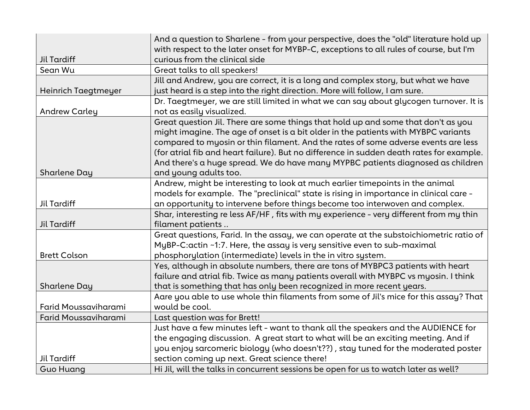|                      | And a question to Sharlene - from your perspective, does the "old" literature hold up    |
|----------------------|------------------------------------------------------------------------------------------|
|                      | with respect to the later onset for MYBP-C, exceptions to all rules of course, but I'm   |
| <b>Jil Tardiff</b>   | curious from the clinical side                                                           |
| Sean Wu              | Great talks to all speakers!                                                             |
|                      | Jill and Andrew, you are correct, it is a long and complex story, but what we have       |
| Heinrich Taegtmeyer  | just heard is a step into the right direction. More will follow, I am sure.              |
|                      | Dr. Taegtmeyer, we are still limited in what we can say about glycogen turnover. It is   |
| <b>Andrew Carley</b> | not as easily visualized.                                                                |
|                      | Great question Jil. There are some things that hold up and some that don't as you        |
|                      | might imagine. The age of onset is a bit older in the patients with MYBPC variants       |
|                      | compared to myosin or thin filament. And the rates of some adverse events are less       |
|                      | (for atrial fib and heart failure). But no difference in sudden death rates for example. |
|                      | And there's a huge spread. We do have many MYPBC patients diagnosed as children          |
| <b>Sharlene Day</b>  | and young adults too.                                                                    |
|                      | Andrew, might be interesting to look at much earlier timepoints in the animal            |
|                      | models for example. The "preclinical" state is rising in importance in clinical care -   |
| Jil Tardiff          | an opportunity to intervene before things become too interwoven and complex.             |
|                      | Shar, interesting re less AF/HF, fits with my experience - very different from my thin   |
| <b>Jil Tardiff</b>   | filament patients                                                                        |
|                      | Great questions, Farid. In the assay, we can operate at the substoichiometric ratio of   |
|                      | MyBP-C:actin ~1:7. Here, the assay is very sensitive even to sub-maximal                 |
| <b>Brett Colson</b>  | phosphorylation (intermediate) levels in the in vitro system.                            |
|                      | Yes, although in absolute numbers, there are tons of MYBPC3 patients with heart          |
|                      | failure and atrial fib. Twice as many patients overall with MYBPC vs myosin. I think     |
| Sharlene Day         | that is something that has only been recognized in more recent years.                    |
|                      | Aare you able to use whole thin filaments from some of Jil's mice for this assay? That   |
| Farid Moussaviharami | would be cool.                                                                           |
| Farid Moussaviharami | Last question was for Brett!                                                             |
|                      | Just have a few minutes left - want to thank all the speakers and the AUDIENCE for       |
|                      | the engaging discussion. A great start to what will be an exciting meeting. And if       |
|                      | you enjoy sarcomeric biology (who doesn't??), stay tuned for the moderated poster        |
| Jil Tardiff          | section coming up next. Great science there!                                             |
| <b>Guo Huang</b>     | Hi Jil, will the talks in concurrent sessions be open for us to watch later as well?     |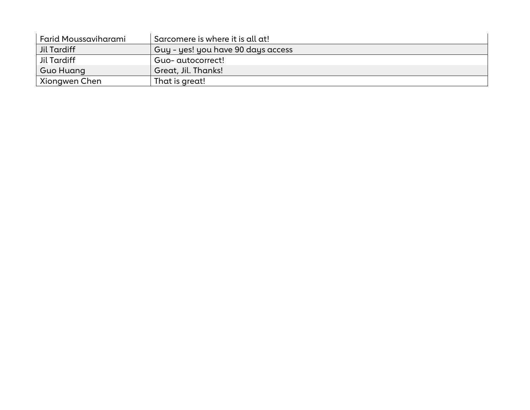| Farid Moussaviharami | ' Sarcomere is where it is all at! |
|----------------------|------------------------------------|
| Jil Tardiff          | Guy - yes! you have 90 days access |
| Jil Tardiff          | Guo- autocorrect!                  |
| Guo Huang            | Great, Jil. Thanks!                |
| Xiongwen Chen        | That is great!                     |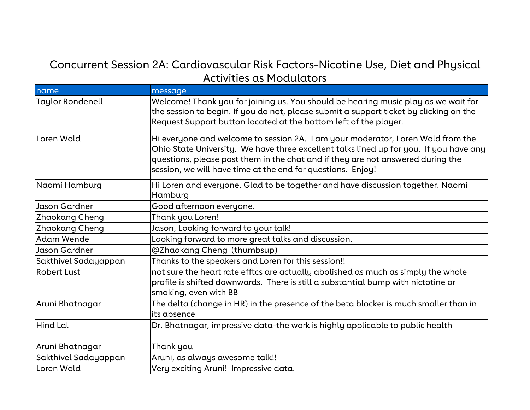#### Concurrent Session 2A: Cardiovascular Risk Factors-Nicotine Use, Diet and Physical Activities as Modulators

| name                    | message                                                                                                                                                                                                                                                                                                                     |
|-------------------------|-----------------------------------------------------------------------------------------------------------------------------------------------------------------------------------------------------------------------------------------------------------------------------------------------------------------------------|
| <b>Taylor Rondenell</b> | Welcome! Thank you for joining us. You should be hearing music play as we wait for<br>the session to begin. If you do not, please submit a support ticket by clicking on the<br>Request Support button located at the bottom left of the player.                                                                            |
| Loren Wold              | Hi everyone and welcome to session 2A. I am your moderator, Loren Wold from the<br>Ohio State University. We have three excellent talks lined up for you. If you have any<br>questions, please post them in the chat and if they are not answered during the<br>session, we will have time at the end for questions. Enjoy! |
| Naomi Hamburg           | Hi Loren and everyone. Glad to be together and have discussion together. Naomi<br>Hamburg                                                                                                                                                                                                                                   |
| Jason Gardner           | Good afternoon everyone.                                                                                                                                                                                                                                                                                                    |
| <b>Zhaokang Cheng</b>   | Thank you Loren!                                                                                                                                                                                                                                                                                                            |
| <b>Zhaokang Cheng</b>   | Jason, Looking forward to your talk!                                                                                                                                                                                                                                                                                        |
| <b>Adam Wende</b>       | Looking forward to more great talks and discussion.                                                                                                                                                                                                                                                                         |
| Jason Gardner           | @Zhaokang Cheng (thumbsup)                                                                                                                                                                                                                                                                                                  |
| Sakthivel Sadayappan    | Thanks to the speakers and Loren for this session!!                                                                                                                                                                                                                                                                         |
| <b>Robert Lust</b>      | not sure the heart rate efftcs are actually abolished as much as simply the whole<br>profile is shifted downwards. There is still a substantial bump with nictotine or<br>smoking, even with BB                                                                                                                             |
| Aruni Bhatnagar         | The delta (change in HR) in the presence of the beta blocker is much smaller than in<br>its absence                                                                                                                                                                                                                         |
| Hind Lal                | Dr. Bhatnagar, impressive data-the work is highly applicable to public health                                                                                                                                                                                                                                               |
| Aruni Bhatnagar         | Thank you                                                                                                                                                                                                                                                                                                                   |
| Sakthivel Sadayappan    | Aruni, as always awesome talk!!                                                                                                                                                                                                                                                                                             |
| Loren Wold              | Very exciting Aruni! Impressive data.                                                                                                                                                                                                                                                                                       |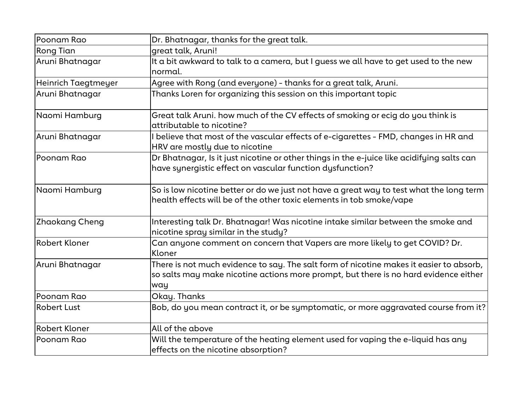| Poonam Rao          | Dr. Bhatnagar, thanks for the great talk.                                                                                                                                              |
|---------------------|----------------------------------------------------------------------------------------------------------------------------------------------------------------------------------------|
| Rong Tian           | great talk, Aruni!                                                                                                                                                                     |
| Aruni Bhatnagar     | It a bit awkward to talk to a camera, but I guess we all have to get used to the new<br>normal.                                                                                        |
| Heinrich Taegtmeyer | Agree with Rong (and everyone) - thanks for a great talk, Aruni.                                                                                                                       |
| Aruni Bhatnagar     | Thanks Loren for organizing this session on this important topic                                                                                                                       |
| Naomi Hamburg       | Great talk Aruni. how much of the CV effects of smoking or ecig do you think is<br>attributable to nicotine?                                                                           |
| Aruni Bhatnagar     | I believe that most of the vascular effects of e-cigarettes - FMD, changes in HR and<br>HRV are mostly due to nicotine                                                                 |
| Poonam Rao          | Dr Bhatnagar, Is it just nicotine or other things in the e-juice like acidifying salts can<br>have synergistic effect on vascular function dysfunction?                                |
| Naomi Hamburg       | So is low nicotine better or do we just not have a great way to test what the long term<br>health effects will be of the other toxic elements in tob smoke/vape                        |
| Zhaokang Cheng      | Interesting talk Dr. Bhatnagar! Was nicotine intake similar between the smoke and<br>nicotine spray similar in the study?                                                              |
| Robert Kloner       | Can anyone comment on concern that Vapers are more likely to get COVID? Dr.<br>Kloner                                                                                                  |
| Aruni Bhatnagar     | There is not much evidence to say. The salt form of nicotine makes it easier to absorb,<br>so salts may make nicotine actions more prompt, but there is no hard evidence either<br>way |
| Poonam Rao          | Okay. Thanks                                                                                                                                                                           |
| <b>Robert Lust</b>  | Bob, do you mean contract it, or be symptomatic, or more aggravated course from it?                                                                                                    |
| Robert Kloner       | All of the above                                                                                                                                                                       |
| Poonam Rao          | Will the temperature of the heating element used for vaping the e-liquid has any<br>effects on the nicotine absorption?                                                                |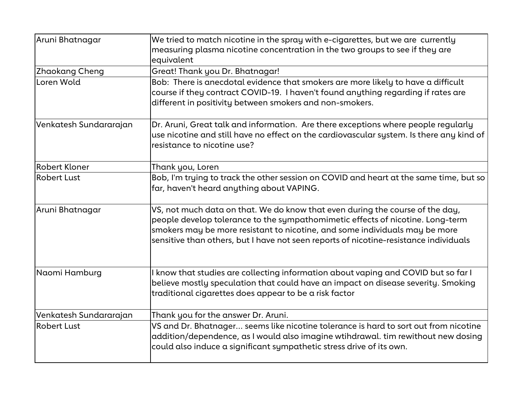| Aruni Bhatnagar        | We tried to match nicotine in the spray with e-cigarettes, but we are currently<br>measuring plasma nicotine concentration in the two groups to see if they are<br>equivalent                                                                                                                                                           |
|------------------------|-----------------------------------------------------------------------------------------------------------------------------------------------------------------------------------------------------------------------------------------------------------------------------------------------------------------------------------------|
| Zhaokang Cheng         | Great! Thank you Dr. Bhatnagar!                                                                                                                                                                                                                                                                                                         |
| Loren Wold             | Bob: There is anecdotal evidence that smokers are more likely to have a difficult<br>course if they contract COVID-19. I haven't found anything regarding if rates are<br>different in positivity between smokers and non-smokers.                                                                                                      |
| Venkatesh Sundararajan | Dr. Aruni, Great talk and information. Are there exceptions where people regularly<br>use nicotine and still have no effect on the cardiovascular system. Is there any kind of<br>resistance to nicotine use?                                                                                                                           |
| Robert Kloner          | Thank you, Loren                                                                                                                                                                                                                                                                                                                        |
| <b>Robert Lust</b>     | Bob, I'm trying to track the other session on COVID and heart at the same time, but so<br>far, haven't heard anything about VAPING.                                                                                                                                                                                                     |
| Aruni Bhatnagar        | VS, not much data on that. We do know that even during the course of the day,<br>people develop tolerance to the sympathomimetic effects of nicotine. Long-term<br>smokers may be more resistant to nicotine, and some individuals may be more<br>sensitive than others, but I have not seen reports of nicotine-resistance individuals |
| Naomi Hamburg          | I know that studies are collecting information about vaping and COVID but so far I<br>believe mostly speculation that could have an impact on disease severity. Smoking<br>traditional cigarettes does appear to be a risk factor                                                                                                       |
| Venkatesh Sundararajan | Thank you for the answer Dr. Aruni.                                                                                                                                                                                                                                                                                                     |
| <b>Robert Lust</b>     | VS and Dr. Bhatnager seems like nicotine tolerance is hard to sort out from nicotine<br>addition/dependence, as I would also imagine wtihdrawal. tim rewithout new dosing<br>could also induce a significant sympathetic stress drive of its own.                                                                                       |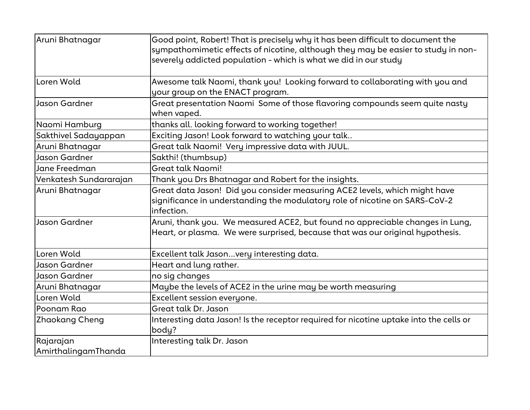| Aruni Bhatnagar                  | Good point, Robert! That is precisely why it has been difficult to document the<br>sympathomimetic effects of nicotine, although they may be easier to study in non-<br>severely addicted population - which is what we did in our study |
|----------------------------------|------------------------------------------------------------------------------------------------------------------------------------------------------------------------------------------------------------------------------------------|
| Loren Wold                       | Awesome talk Naomi, thank you! Looking forward to collaborating with you and<br>your group on the ENACT program.                                                                                                                         |
| Jason Gardner                    | Great presentation Naomi Some of those flavoring compounds seem quite nasty<br>when vaped.                                                                                                                                               |
| Naomi Hamburg                    | thanks all. looking forward to working together!                                                                                                                                                                                         |
| Sakthivel Sadayappan             | Exciting Jason! Look forward to watching your talk                                                                                                                                                                                       |
| Aruni Bhatnagar                  | Great talk Naomi! Very impressive data with JUUL.                                                                                                                                                                                        |
| Jason Gardner                    | Sakthi! (thumbsup)                                                                                                                                                                                                                       |
| Jane Freedman                    | <b>Great talk Naomi!</b>                                                                                                                                                                                                                 |
| Venkatesh Sundararajan           | Thank you Drs Bhatnagar and Robert for the insights.                                                                                                                                                                                     |
| Aruni Bhatnagar                  | Great data Jason! Did you consider measuring ACE2 levels, which might have<br>significance in understanding the modulatory role of nicotine on SARS-CoV-2<br>infection.                                                                  |
| Jason Gardner                    | Aruni, thank you. We measured ACE2, but found no appreciable changes in Lung,<br>Heart, or plasma. We were surprised, because that was our original hypothesis.                                                                          |
| Loren Wold                       | Excellent talk Jasonvery interesting data.                                                                                                                                                                                               |
| Jason Gardner                    | Heart and lung rather.                                                                                                                                                                                                                   |
| Jason Gardner                    | no sig changes                                                                                                                                                                                                                           |
| Aruni Bhatnagar                  | Maybe the levels of ACE2 in the urine may be worth measuring                                                                                                                                                                             |
| Loren Wold                       | Excellent session everyone.                                                                                                                                                                                                              |
| Poonam Rao                       | Great talk Dr. Jason                                                                                                                                                                                                                     |
| <b>Zhaokang Cheng</b>            | Interesting data Jason! Is the receptor required for nicotine uptake into the cells or<br>body?                                                                                                                                          |
| Rajarajan<br>AmirthalingamThanda | Interesting talk Dr. Jason                                                                                                                                                                                                               |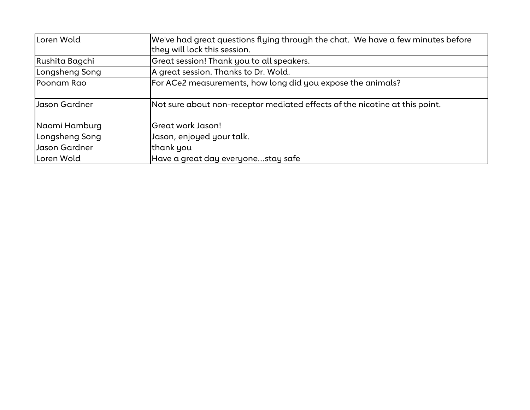| lLoren Wold    | We've had great questions flying through the chat. We have a few minutes before<br>they will lock this session. |
|----------------|-----------------------------------------------------------------------------------------------------------------|
| Rushita Bagchi | Great session! Thank you to all speakers.                                                                       |
| Longsheng Song | A great session. Thanks to Dr. Wold.                                                                            |
| Poonam Rao     | For ACe2 measurements, how long did you expose the animals?                                                     |
| Jason Gardner  | Not sure about non-receptor mediated effects of the nicotine at this point.                                     |
| Naomi Hamburg  | Great work Jason!                                                                                               |
| Longsheng Song | Jason, enjoyed your talk.                                                                                       |
| Jason Gardner  | thank you                                                                                                       |
| Loren Wold     | Have a great day everyone…stay safe                                                                             |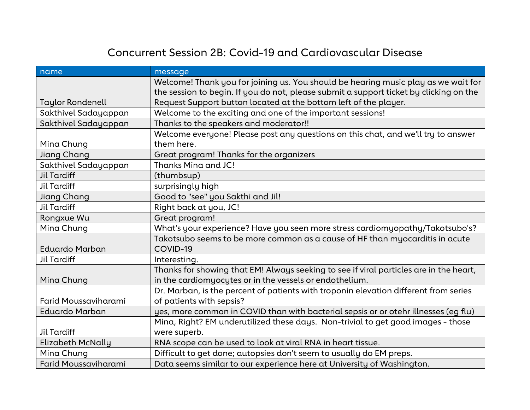### Concurrent Session 2B: Covid-19 and Cardiovascular Disease

| name                     | message                                                                                |
|--------------------------|----------------------------------------------------------------------------------------|
|                          | Welcome! Thank you for joining us. You should be hearing music play as we wait for     |
|                          | the session to begin. If you do not, please submit a support ticket by clicking on the |
| <b>Taylor Rondenell</b>  | Request Support button located at the bottom left of the player.                       |
| Sakthivel Sadayappan     | Welcome to the exciting and one of the important sessions!                             |
| Sakthivel Sadayappan     | Thanks to the speakers and moderator!!                                                 |
|                          | Welcome everyone! Please post any questions on this chat, and we'll try to answer      |
| Mina Chung               | them here.                                                                             |
| Jiang Chang              | Great program! Thanks for the organizers                                               |
| Sakthivel Sadayappan     | Thanks Mina and JC!                                                                    |
| <b>Jil Tardiff</b>       | (thumbsup)                                                                             |
| Jil Tardiff              | surprisingly high                                                                      |
| Jiang Chang              | Good to "see" you Sakthi and Jil!                                                      |
| <b>Jil Tardiff</b>       | Right back at you, JC!                                                                 |
| Rongxue Wu               | Great program!                                                                         |
| Mina Chung               | What's your experience? Have you seen more stress cardiomyopathy/Takotsubo's?          |
|                          | Takotsubo seems to be more common as a cause of HF than myocarditis in acute           |
| <b>Eduardo Marban</b>    | COVID-19                                                                               |
| <b>Jil Tardiff</b>       | Interesting.                                                                           |
|                          | Thanks for showing that EM! Always seeking to see if viral particles are in the heart, |
| Mina Chung               | in the cardiomyocytes or in the vessels or endothelium.                                |
|                          | Dr. Marban, is the percent of patients with troponin elevation different from series   |
| Farid Moussaviharami     | of patients with sepsis?                                                               |
| <b>Eduardo Marban</b>    | yes, more common in COVID than with bacterial sepsis or or otehr illnesses (eg flu)    |
|                          | Mina, Right? EM underutilized these days. Non-trivial to get good images - those       |
| <b>Jil Tardiff</b>       | were superb.                                                                           |
| <b>Elizabeth McNally</b> | RNA scope can be used to look at viral RNA in heart tissue.                            |
| Mina Chung               | Difficult to get done; autopsies don't seem to usually do EM preps.                    |
| Farid Moussaviharami     | Data seems similar to our experience here at University of Washington.                 |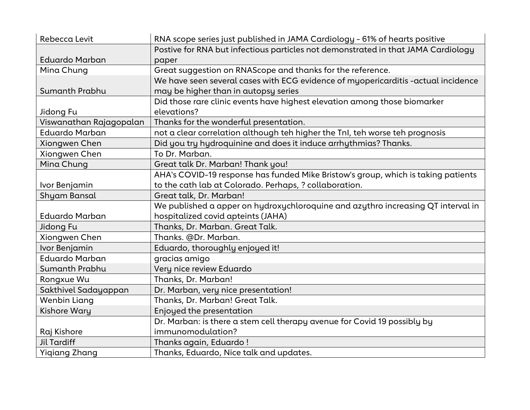| Rebecca Levit           | RNA scope series just published in JAMA Cardiology - 61% of hearts positive       |
|-------------------------|-----------------------------------------------------------------------------------|
|                         | Postive for RNA but infectious particles not demonstrated in that JAMA Cardiology |
| Eduardo Marban          | paper                                                                             |
| Mina Chung              | Great suggestion on RNAScope and thanks for the reference.                        |
|                         | We have seen several cases with ECG evidence of myopericarditis -actual incidence |
| Sumanth Prabhu          | may be higher than in autopsy series                                              |
|                         | Did those rare clinic events have highest elevation among those biomarker         |
| Jidong Fu               | elevations?                                                                       |
| Viswanathan Rajagopalan | Thanks for the wonderful presentation.                                            |
| <b>Eduardo Marban</b>   | not a clear correlation although teh higher the TnI, teh worse teh prognosis      |
| Xiongwen Chen           | Did you try hydroquinine and does it induce arrhythmias? Thanks.                  |
| Xiongwen Chen           | To Dr. Marban.                                                                    |
| Mina Chung              | Great talk Dr. Marban! Thank you!                                                 |
|                         | AHA's COVID-19 response has funded Mike Bristow's group, which is taking patients |
| Ivor Benjamin           | to the cath lab at Colorado. Perhaps, ? collaboration.                            |
| Shyam Bansal            | Great talk, Dr. Marban!                                                           |
|                         | We published a apper on hydroxychloroquine and azythro increasing QT interval in  |
| <b>Eduardo Marban</b>   | hospitalized covid apteints (JAHA)                                                |
| Jidong Fu               | Thanks, Dr. Marban. Great Talk.                                                   |
| Xiongwen Chen           | Thanks. @Dr. Marban.                                                              |
| Ivor Benjamin           | Eduardo, thoroughly enjoyed it!                                                   |
| <b>Eduardo Marban</b>   | gracias amigo                                                                     |
| Sumanth Prabhu          | Very nice review Eduardo                                                          |
| Rongxue Wu              | Thanks, Dr. Marban!                                                               |
| Sakthivel Sadayappan    | Dr. Marban, very nice presentation!                                               |
| <b>Wenbin Liang</b>     | Thanks, Dr. Marban! Great Talk.                                                   |
| Kishore Wary            | Enjoyed the presentation                                                          |
|                         | Dr. Marban: is there a stem cell therapy avenue for Covid 19 possibly by          |
| Raj Kishore             | immunomodulation?                                                                 |
| <b>Jil Tardiff</b>      | Thanks again, Eduardo!                                                            |
| <b>Yigiang Zhang</b>    | Thanks, Eduardo, Nice talk and updates.                                           |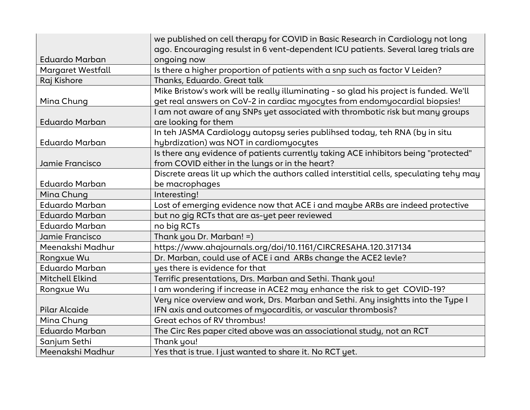|                          | we published on cell therapy for COVID in Basic Research in Cardiology not long         |
|--------------------------|-----------------------------------------------------------------------------------------|
| <b>Eduardo Marban</b>    | ago. Encouraging resulst in 6 vent-dependent ICU patients. Several lareg trials are     |
|                          | ongoing now                                                                             |
| <b>Margaret Westfall</b> | Is there a higher proportion of patients with a snp such as factor V Leiden?            |
| Raj Kishore              | Thanks, Eduardo. Great talk                                                             |
|                          | Mike Bristow's work will be really illuminating - so glad his project is funded. We'll  |
| Mina Chung               | get real answers on CoV-2 in cardiac myocytes from endomyocardial biopsies!             |
|                          | I am not aware of any SNPs yet associated with thrombotic risk but many groups          |
| <b>Eduardo Marban</b>    | are looking for them                                                                    |
|                          | In teh JASMA Cardiology autopsy series publihsed today, teh RNA (by in situ             |
| <b>Eduardo Marban</b>    | hybrdization) was NOT in cardiomyocytes                                                 |
|                          | Is there any evidence of patients currently taking ACE inhibitors being "protected"     |
| Jamie Francisco          | from COVID either in the lungs or in the heart?                                         |
|                          | Discrete areas lit up which the authors called interstitial cells, speculating tehy may |
| <b>Eduardo Marban</b>    | be macrophages                                                                          |
| Mina Chung               | Interesting!                                                                            |
| <b>Eduardo Marban</b>    | Lost of emerging evidence now that ACE i and maybe ARBs are indeed protective           |
| <b>Eduardo Marban</b>    | but no gig RCTs that are as-yet peer reviewed                                           |
| <b>Eduardo Marban</b>    | no big RCTs                                                                             |
| Jamie Francisco          | Thank you Dr. Marban! =)                                                                |
| Meenakshi Madhur         | https://www.ahajournals.org/doi/10.1161/CIRCRESAHA.120.317134                           |
| Rongxue Wu               | Dr. Marban, could use of ACE i and ARBs change the ACE2 levle?                          |
| <b>Eduardo Marban</b>    | yes there is evidence for that                                                          |
| <b>Mitchell Elkind</b>   | Terrific presentations, Drs. Marban and Sethi. Thank you!                               |
| Rongxue Wu               | I am wondering if increase in ACE2 may enhance the risk to get COVID-19?                |
|                          | Very nice overview and work, Drs. Marban and Sethi. Any insightts into the Type I       |
| <b>Pilar Alcaide</b>     | IFN axis and outcomes of myocarditis, or vascular thrombosis?                           |
| Mina Chung               | Great echos of RV thrombus!                                                             |
| <b>Eduardo Marban</b>    | The Circ Res paper cited above was an associational study, not an RCT                   |
| Sanjum Sethi             | Thank you!                                                                              |
| Meenakshi Madhur         | Yes that is true. I just wanted to share it. No RCT yet.                                |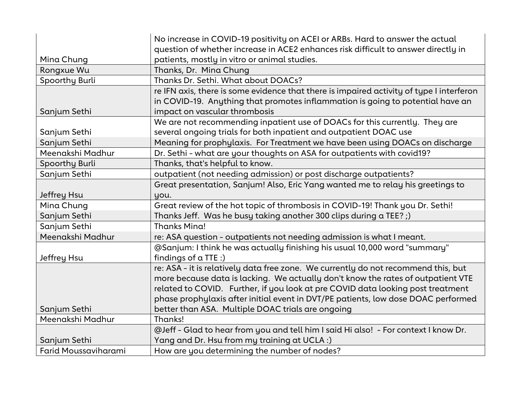|                      | No increase in COVID-19 positivity on ACEI or ARBs. Hard to answer the actual                                                                                                                               |
|----------------------|-------------------------------------------------------------------------------------------------------------------------------------------------------------------------------------------------------------|
|                      | question of whether increase in ACE2 enhances risk difficult to answer directly in                                                                                                                          |
| Mina Chung           | patients, mostly in vitro or animal studies.                                                                                                                                                                |
| Rongxue Wu           | Thanks, Dr. Mina Chung                                                                                                                                                                                      |
| Spoorthy Burli       | Thanks Dr. Sethi. What about DOACs?                                                                                                                                                                         |
| Sanjum Sethi         | re IFN axis, there is some evidence that there is impaired activity of type I interferon<br>in COVID-19. Anything that promotes inflammation is going to potential have an<br>impact on vascular thrombosis |
|                      | We are not recommending inpatient use of DOACs for this currently. They are                                                                                                                                 |
| Sanjum Sethi         | several ongoing trials for both inpatient and outpatient DOAC use                                                                                                                                           |
| Sanjum Sethi         | Meaning for prophylaxis. For Treatment we have been using DOACs on discharge                                                                                                                                |
| Meenakshi Madhur     | Dr. Sethi - what are your thoughts on ASA for outpatients with covid19?                                                                                                                                     |
| Spoorthy Burli       | Thanks, that's helpful to know.                                                                                                                                                                             |
| Sanjum Sethi         | outpatient (not needing admission) or post discharge outpatients?                                                                                                                                           |
|                      | Great presentation, Sanjum! Also, Eric Yang wanted me to relay his greetings to                                                                                                                             |
| Jeffrey Hsu          | you.                                                                                                                                                                                                        |
| Mina Chung           | Great review of the hot topic of thrombosis in COVID-19! Thank you Dr. Sethi!                                                                                                                               |
| Sanjum Sethi         | Thanks Jeff. Was he busy taking another 300 clips during a TEE?;)                                                                                                                                           |
| Sanjum Sethi         | <b>Thanks Mina!</b>                                                                                                                                                                                         |
| Meenakshi Madhur     | re: ASA question - outpatients not needing admission is what I meant.                                                                                                                                       |
|                      | @Sanjum: I think he was actually finishing his usual 10,000 word "summary"                                                                                                                                  |
| Jeffrey Hsu          | findings of $\alpha$ TTE :)                                                                                                                                                                                 |
|                      | re: ASA - it is relatively data free zone. We currently do not recommend this, but                                                                                                                          |
|                      | more because data is lacking. We actually don't know the rates of outpatient VTE                                                                                                                            |
|                      | related to COVID. Further, if you look at pre COVID data looking post treatment                                                                                                                             |
|                      | phase prophylaxis after initial event in DVT/PE patients, low dose DOAC performed                                                                                                                           |
| Sanjum Sethi         | better than ASA. Multiple DOAC trials are ongoing                                                                                                                                                           |
| Meenakshi Madhur     | Thanks!                                                                                                                                                                                                     |
|                      | @Jeff - Glad to hear from you and tell him I said Hi also! - For context I know Dr.                                                                                                                         |
| Sanjum Sethi         | Yang and Dr. Hsu from my training at UCLA :)                                                                                                                                                                |
| Farid Moussaviharami | How are you determining the number of nodes?                                                                                                                                                                |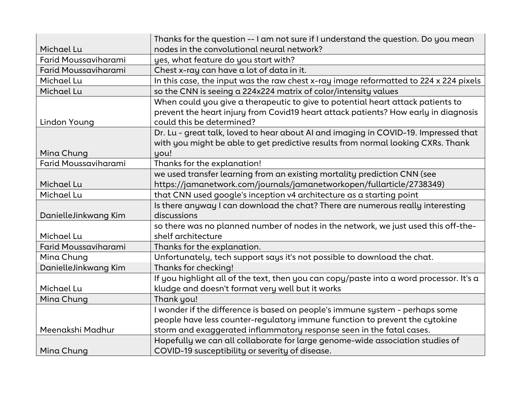|                             | Thanks for the question -- I am not sure if I understand the question. Do you mean      |
|-----------------------------|-----------------------------------------------------------------------------------------|
| Michael Lu                  | nodes in the convolutional neural network?                                              |
| Farid Moussaviharami        | yes, what feature do you start with?                                                    |
| Farid Moussaviharami        | Chest x-ray can have a lot of data in it.                                               |
| Michael Lu                  | In this case, the input was the raw chest x-ray image reformatted to 224 x 224 pixels   |
| Michael Lu                  | so the CNN is seeing a 224x224 matrix of color/intensity values                         |
|                             | When could you give a therapeutic to give to potential heart attack patients to         |
|                             | prevent the heart injury from Covid19 heart attack patients? How early in diagnosis     |
| Lindon Young                | could this be determined?                                                               |
|                             | Dr. Lu - great talk, loved to hear about AI and imaging in COVID-19. Impressed that     |
|                             | with you might be able to get predictive results from normal looking CXRs. Thank        |
| Mina Chung                  | you!                                                                                    |
| <b>Farid Moussaviharami</b> | Thanks for the explanation!                                                             |
|                             | we used transfer learning from an existing mortality prediction CNN (see                |
| Michael Lu                  | https://jamanetwork.com/journals/jamanetworkopen/fullarticle/2738349)                   |
| Michael Lu                  | that CNN used google's inception v4 architecture as a starting point                    |
|                             | Is there anyway I can download the chat? There are numerous really interesting          |
| DanielleJinkwang Kim        | discussions                                                                             |
|                             | so there was no planned number of nodes in the network, we just used this off-the-      |
| Michael Lu                  | shelf architecture                                                                      |
| Farid Moussaviharami        | Thanks for the explanation.                                                             |
| Mina Chung                  | Unfortunately, tech support says it's not possible to download the chat.                |
| DanielleJinkwang Kim        | Thanks for checking!                                                                    |
|                             | If you highlight all of the text, then you can copy/paste into a word processor. It's a |
| Michael Lu                  | kludge and doesn't format very well but it works                                        |
| Mina Chung                  | Thank you!                                                                              |
|                             | I wonder if the difference is based on people's immune system - perhaps some            |
|                             | people have less counter-regulatory immune function to prevent the cytokine             |
| Meenakshi Madhur            | storm and exaggerated inflammatory response seen in the fatal cases.                    |
|                             | Hopefully we can all collaborate for large genome-wide association studies of           |
| Mina Chung                  | COVID-19 susceptibility or severity of disease.                                         |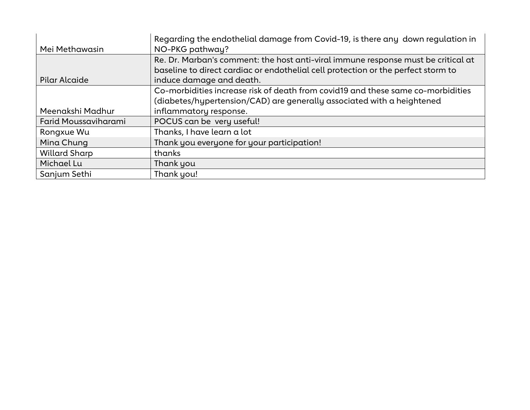|                             | Regarding the endothelial damage from Covid-19, is there any down regulation in                                                                                                                    |
|-----------------------------|----------------------------------------------------------------------------------------------------------------------------------------------------------------------------------------------------|
| Mei Methawasin              | NO-PKG pathway?                                                                                                                                                                                    |
| Pilar Alcaide               | Re. Dr. Marban's comment: the host anti-viral immune response must be critical at<br>baseline to direct cardiac or endothelial cell protection or the perfect storm to<br>induce damage and death. |
|                             | Co-morbidities increase risk of death from covid19 and these same co-morbidities                                                                                                                   |
|                             | (diabetes/hypertension/CAD) are generally associated with a heightened                                                                                                                             |
| Meenakshi Madhur            | inflammatory response.                                                                                                                                                                             |
| <b>Farid Moussaviharami</b> | POCUS can be very useful!                                                                                                                                                                          |
| Rongxue Wu                  | Thanks, I have learn a lot                                                                                                                                                                         |
| Mina Chung                  | Thank you everyone for your participation!                                                                                                                                                         |
| <b>Willard Sharp</b>        | thanks                                                                                                                                                                                             |
| Michael Lu                  | Thank you                                                                                                                                                                                          |
| Sanjum Sethi                | Thank you!                                                                                                                                                                                         |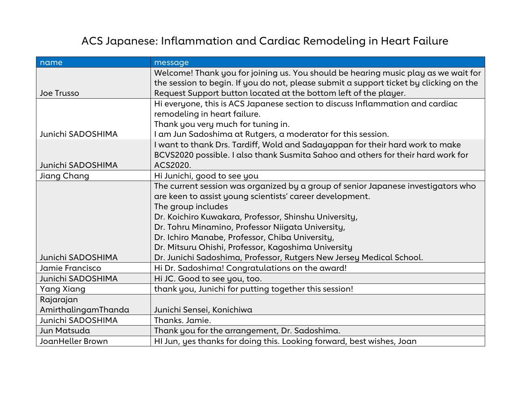# ACS Japanese: Inflammation and Cardiac Remodeling in Heart Failure

| name                | message                                                                                |
|---------------------|----------------------------------------------------------------------------------------|
|                     | Welcome! Thank you for joining us. You should be hearing music play as we wait for     |
|                     | the session to begin. If you do not, please submit a support ticket by clicking on the |
| <b>Joe Trusso</b>   | Request Support button located at the bottom left of the player.                       |
|                     | Hi everyone, this is ACS Japanese section to discuss Inflammation and cardiac          |
|                     | remodeling in heart failure.                                                           |
|                     | Thank you very much for tuning in.                                                     |
| Junichi SADOSHIMA   | I am Jun Sadoshima at Rutgers, a moderator for this session.                           |
|                     | I want to thank Drs. Tardiff, Wold and Sadayappan for their hard work to make          |
|                     | BCVS2020 possible. I also thank Susmita Sahoo and others for their hard work for       |
| Junichi SADOSHIMA   | ACS2020.                                                                               |
| Jiang Chang         | Hi Junichi, good to see you                                                            |
|                     | The current session was organized by a group of senior Japanese investigators who      |
|                     | are keen to assist young scientists' career development.                               |
|                     | The group includes                                                                     |
|                     | Dr. Koichiro Kuwakara, Professor, Shinshu University,                                  |
|                     | Dr. Tohru Minamino, Professor Niigata University,                                      |
|                     | Dr. Ichiro Manabe, Professor, Chiba University,                                        |
|                     | Dr. Mitsuru Ohishi, Professor, Kagoshima University                                    |
| Junichi SADOSHIMA   | Dr. Junichi Sadoshima, Professor, Rutgers New Jersey Medical School.                   |
| Jamie Francisco     | Hi Dr. Sadoshima! Congratulations on the award!                                        |
| Junichi SADOSHIMA   | Hi JC. Good to see you, too.                                                           |
| <b>Yang Xiang</b>   | thank you, Junichi for putting together this session!                                  |
| Rajarajan           |                                                                                        |
| AmirthalingamThanda | Junichi Sensei, Konichiwa                                                              |
| Junichi SADOSHIMA   | Thanks. Jamie.                                                                         |
| Jun Matsuda         | Thank you for the arrangement, Dr. Sadoshima.                                          |
| JoanHeller Brown    | HI Jun, yes thanks for doing this. Looking forward, best wishes, Joan                  |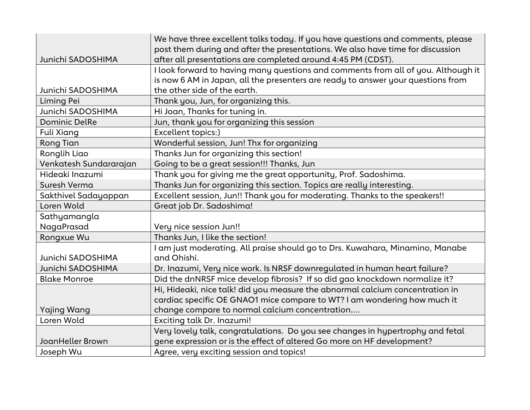|                        | We have three excellent talks today. If you have questions and comments, please   |
|------------------------|-----------------------------------------------------------------------------------|
|                        | post them during and after the presentations. We also have time for discussion    |
| Junichi SADOSHIMA      | after all presentations are completed around 4:45 PM (CDST).                      |
|                        | I look forward to having many questions and comments from all of you. Although it |
|                        | is now 6 AM in Japan, all the presenters are ready to answer your questions from  |
| Junichi SADOSHIMA      | the other side of the earth.                                                      |
| Liming Pei             | Thank you, Jun, for organizing this.                                              |
| Junichi SADOSHIMA      | Hi Joan, Thanks for tuning in.                                                    |
| <b>Dominic DelRe</b>   | Jun, thank you for organizing this session                                        |
| Fuli Xiang             | Excellent topics:)                                                                |
| <b>Rong Tian</b>       | Wonderful session, Jun! Thx for organizing                                        |
| Ronglih Liao           | Thanks Jun for organizing this section!                                           |
| Venkatesh Sundararajan | Going to be a great session!!! Thanks, Jun                                        |
| Hideaki Inazumi        | Thank you for giving me the great opportunity, Prof. Sadoshima.                   |
| Suresh Verma           | Thanks Jun for organizing this section. Topics are really interesting.            |
| Sakthivel Sadayappan   | Excellent session, Jun!! Thank you for moderating. Thanks to the speakers!!       |
| Loren Wold             | Great job Dr. Sadoshima!                                                          |
| Sathyamangla           |                                                                                   |
| NagaPrasad             | Very nice session Jun!!                                                           |
| Rongxue Wu             | Thanks Jun, I like the section!                                                   |
|                        | I am just moderating. All praise should go to Drs. Kuwahara, Minamino, Manabe     |
| Junichi SADOSHIMA      | and Ohishi.                                                                       |
| Junichi SADOSHIMA      | Dr. Inazumi, Very nice work. Is NRSF downregulated in human heart failure?        |
| <b>Blake Monroe</b>    | Did the dnNRSF mice develop fibrosis? If so did gao knockdown normalize it?       |
|                        | Hi, Hideaki, nice talk! did you measure the abnormal calcium concentration in     |
|                        | cardiac specific OE GNAO1 mice compare to WT? I am wondering how much it          |
| <b>Yajing Wang</b>     | change compare to normal calcium concentration                                    |
| Loren Wold             | <b>Exciting talk Dr. Inazumi!</b>                                                 |
|                        | Very lovely talk, congratulations. Do you see changes in hypertrophy and fetal    |
| JoanHeller Brown       | gene expression or is the effect of altered Go more on HF development?            |
| Joseph Wu              | Agree, very exciting session and topics!                                          |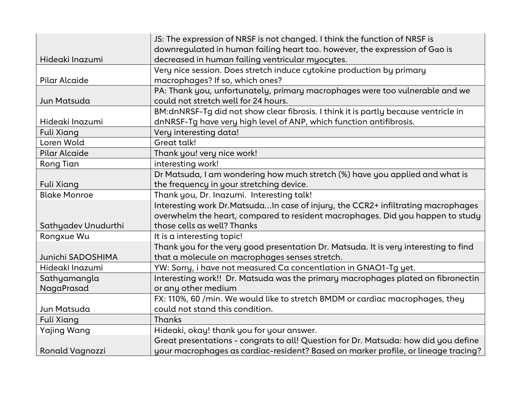|                        | JS: The expression of NRSF is not changed. I think the function of NRSF is           |
|------------------------|--------------------------------------------------------------------------------------|
|                        | downregulated in human failing heart too. however, the expression of $G\alpha o$ is  |
| Hideaki Inazumi        | decreased in human failing ventricular myocytes.                                     |
|                        | Very nice session. Does stretch induce cytokine production by primary                |
| Pilar Alcaide          | macrophages? If so, which ones?                                                      |
|                        | PA: Thank you, unfortunately, primary macrophages were too vulnerable and we         |
| Jun Matsuda            | could not stretch well for 24 hours.                                                 |
|                        | BM:dnNRSF-Tg did not show clear fibrosis. I think it is partly because ventricle in  |
| Hideaki Inazumi        | dnNRSF-Tg have very high level of ANP, which function antifibrosis.                  |
| <b>Fuli Xiang</b>      | Very interesting data!                                                               |
| Loren Wold             | Great talk!                                                                          |
| <b>Pilar Alcaide</b>   | Thank you! very nice work!                                                           |
| <b>Rong Tian</b>       | interesting work!                                                                    |
|                        | Dr Matsuda, I am wondering how much stretch (%) have you applied and what is         |
| <b>Fuli Xiang</b>      | the frequency in your stretching device.                                             |
| <b>Blake Monroe</b>    | Thank you, Dr. Inazumi. Interesting talk!                                            |
|                        | Interesting work Dr.MatsudaIn case of injury, the CCR2+ infiltrating macrophages     |
|                        | overwhelm the heart, compared to resident macrophages. Did you happen to study       |
| Sathyadev Unudurthi    | those cells as well? Thanks                                                          |
| Rongxue Wu             | It is a interesting topic!                                                           |
|                        | Thank you for the very good presentation Dr. Matsuda. It is very interesting to find |
| Junichi SADOSHIMA      | that a molecule on macrophages senses stretch.                                       |
| Hideaki Inazumi        | YW: Sorry, i have not measured Ca concentlation in GNAO1-Tg yet.                     |
| Sathyamangla           | Interesting work!! Dr. Matsuda was the primary macrophages plated on fibronectin     |
| NagaPrasad             | or any other medium                                                                  |
|                        | FX: 110%, 60 /min. We would like to stretch BMDM or cardiac macrophages, they        |
| Jun Matsuda            | could not stand this condition.                                                      |
| <b>Fuli Xiang</b>      | Thanks                                                                               |
| <b>Yajing Wang</b>     | Hideaki, okay! thank you for your answer.                                            |
|                        | Great presentations - congrats to all! Question for Dr. Matsuda: how did you define  |
| <b>Ronald Vagnozzi</b> | your macrophages as cardiac-resident? Based on marker profile, or lineage tracing?   |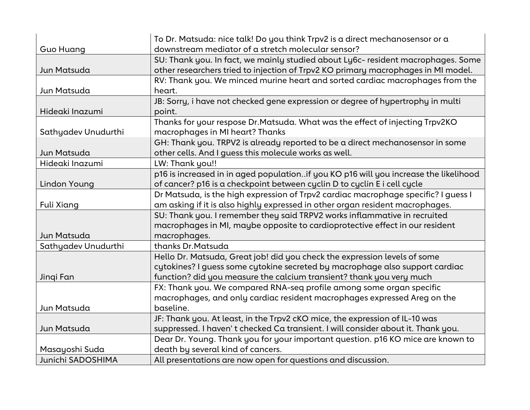|                     | To Dr. Matsuda: nice talk! Do you think Trpv2 is a direct mechanosensor or a         |
|---------------------|--------------------------------------------------------------------------------------|
| <b>Guo Huang</b>    | downstream mediator of a stretch molecular sensor?                                   |
|                     | SU: Thank you. In fact, we mainly studied about Ly6c- resident macrophages. Some     |
| Jun Matsuda         | other researchers tried to injection of Trpv2 KO primary macrophages in MI model.    |
|                     | RV: Thank you. We minced murine heart and sorted cardiac macrophages from the        |
| Jun Matsuda         | heart.                                                                               |
|                     | JB: Sorry, i have not checked gene expression or degree of hypertrophy in multi      |
| Hideaki Inazumi     | point.                                                                               |
|                     | Thanks for your respose Dr.Matsuda. What was the effect of injecting Trpv2KO         |
| Sathyadev Unudurthi | macrophages in MI heart? Thanks                                                      |
|                     | GH: Thank you. TRPV2 is already reported to be a direct mechanosensor in some        |
| Jun Matsuda         | other cells. And I guess this molecule works as well.                                |
| Hideaki Inazumi     | LW: Thank you!!                                                                      |
|                     | p16 is increased in in aged populationif you KO p16 will you increase the likelihood |
| Lindon Young        | of cancer? p16 is a checkpoint between cyclin D to cyclin E i cell cycle             |
|                     | Dr Matsuda, is the high expression of Trpv2 cardiac macrophage specific? I guess I   |
| <b>Fuli Xiang</b>   | am asking if it is also highly expressed in other organ resident macrophages.        |
|                     | SU: Thank you. I remember they said TRPV2 works inflammative in recruited            |
|                     | macrophages in MI, maybe opposite to cardioprotective effect in our resident         |
| Jun Matsuda         | macrophages.                                                                         |
| Sathyadev Unudurthi | thanks Dr. Matsuda                                                                   |
|                     | Hello Dr. Matsuda, Great job! did you check the expression levels of some            |
|                     | cytokines? I guess some cytokine secreted by macrophage also support cardiac         |
| Jinqi Fan           | function? did you measure the calcium transient? thank you very much                 |
|                     | FX: Thank you. We compared RNA-seq profile among some organ specific                 |
|                     | macrophages, and only cardiac resident macrophages expressed Areg on the             |
| Jun Matsuda         | baseline.                                                                            |
|                     | JF: Thank you. At least, in the Trpv2 cKO mice, the expression of IL-10 was          |
| Jun Matsuda         | suppressed. I haven't checked Ca transient. I will consider about it. Thank you.     |
|                     | Dear Dr. Young. Thank you for your important question. p16 KO mice are known to      |
| Masayoshi Suda      | death by several kind of cancers.                                                    |
| Junichi SADOSHIMA   | All presentations are now open for questions and discussion.                         |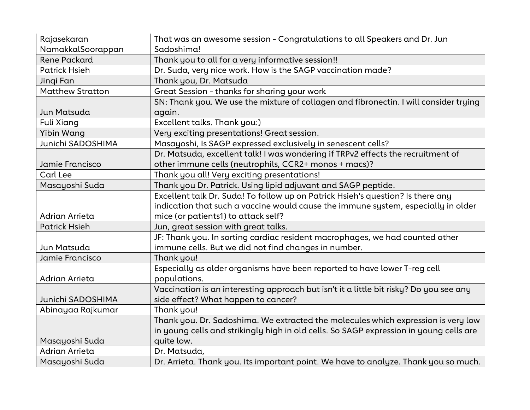| Rajasekaran             | That was an awesome session - Congratulations to all Speakers and Dr. Jun              |
|-------------------------|----------------------------------------------------------------------------------------|
| NamakkalSoorappan       | Sadoshima!                                                                             |
| <b>Rene Packard</b>     | Thank you to all for a very informative session!!                                      |
| <b>Patrick Hsieh</b>    | Dr. Suda, very nice work. How is the SAGP vaccination made?                            |
| Jingi Fan               | Thank you, Dr. Matsuda                                                                 |
| <b>Matthew Stratton</b> | Great Session - thanks for sharing your work                                           |
|                         | SN: Thank you. We use the mixture of collagen and fibronectin. I will consider trying  |
| Jun Matsuda             | again.                                                                                 |
| <b>Fuli Xiang</b>       | Excellent talks. Thank you:)                                                           |
| Yibin Wang              | Very exciting presentations! Great session.                                            |
| Junichi SADOSHIMA       | Masayoshi, Is SAGP expressed exclusively in senescent cells?                           |
|                         | Dr. Matsuda, excellent talk! I was wondering if TRPv2 effects the recruitment of       |
| Jamie Francisco         | other immune cells (neutrophils, CCR2+ monos + macs)?                                  |
| Carl Lee                | Thank you all! Very exciting presentations!                                            |
| Masayoshi Suda          | Thank you Dr. Patrick. Using lipid adjuvant and SAGP peptide.                          |
|                         | Excellent talk Dr. Suda! To follow up on Patrick Hsieh's question? Is there any        |
|                         | indication that such a vaccine would cause the immune system, especially in older      |
| Adrian Arrieta          | mice (or patients1) to attack self?                                                    |
| <b>Patrick Hsieh</b>    | Jun, great session with great talks.                                                   |
|                         | JF: Thank you. In sorting cardiac resident macrophages, we had counted other           |
| Jun Matsuda             | immune cells. But we did not find changes in number.                                   |
| Jamie Francisco         | Thank you!                                                                             |
|                         | Especially as older organisms have been reported to have lower T-reg cell              |
| Adrian Arrieta          | populations.                                                                           |
|                         | Vaccination is an interesting approach but isn't it a little bit risky? Do you see any |
| Junichi SADOSHIMA       | side effect? What happen to cancer?                                                    |
| Abinayaa Rajkumar       | Thank you!                                                                             |
|                         | Thank you. Dr. Sadoshima. We extracted the molecules which expression is very low      |
|                         | in young cells and strikingly high in old cells. So SAGP expression in young cells are |
| Masayoshi Suda          | quite low.                                                                             |
| Adrian Arrieta          | Dr. Matsuda,                                                                           |
| Masayoshi Suda          | Dr. Arrieta. Thank you. Its important point. We have to analyze. Thank you so much.    |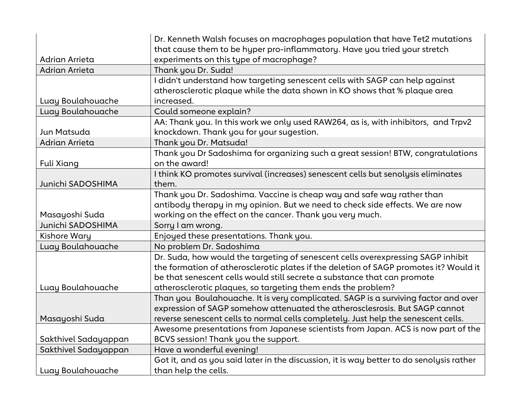|                      | Dr. Kenneth Walsh focuses on macrophages population that have Tet2 mutations                                                                                                                                                                          |
|----------------------|-------------------------------------------------------------------------------------------------------------------------------------------------------------------------------------------------------------------------------------------------------|
|                      | that cause them to be hyper pro-inflammatory. Have you tried your stretch                                                                                                                                                                             |
| Adrian Arrieta       | experiments on this type of macrophage?                                                                                                                                                                                                               |
| Adrian Arrieta       | Thank you Dr. Suda!                                                                                                                                                                                                                                   |
| Luay Boulahouache    | I didn't understand how targeting senescent cells with SAGP can help against<br>atherosclerotic plaque while the data shown in KO shows that % plaque area<br>increased.                                                                              |
| Luay Boulahouache    |                                                                                                                                                                                                                                                       |
|                      | Could someone explain?                                                                                                                                                                                                                                |
| Jun Matsuda          | AA: Thank you. In this work we only used RAW264, as is, with inhibitors, and Trpv2<br>knockdown. Thank you for your sugestion.                                                                                                                        |
| Adrian Arrieta       | Thank you Dr. Matsuda!                                                                                                                                                                                                                                |
|                      | Thank you Dr Sadoshima for organizing such a great session! BTW, congratulations                                                                                                                                                                      |
| <b>Fuli Xiang</b>    | on the award!                                                                                                                                                                                                                                         |
|                      | I think KO promotes survival (increases) senescent cells but senolysis eliminates                                                                                                                                                                     |
| Junichi SADOSHIMA    | them.                                                                                                                                                                                                                                                 |
|                      | Thank you Dr. Sadoshima. Vaccine is cheap way and safe way rather than                                                                                                                                                                                |
|                      | antibody therapy in my opinion. But we need to check side effects. We are now                                                                                                                                                                         |
| Masayoshi Suda       | working on the effect on the cancer. Thank you very much.                                                                                                                                                                                             |
| Junichi SADOSHIMA    | Sorry I am wrong.                                                                                                                                                                                                                                     |
| <b>Kishore Wary</b>  | Enjoyed these presentations. Thank you.                                                                                                                                                                                                               |
| Luay Boulahouache    | No problem Dr. Sadoshima                                                                                                                                                                                                                              |
|                      | Dr. Suda, how would the targeting of senescent cells overexpressing SAGP inhibit<br>the formation of atherosclerotic plates if the deletion of SAGP promotes it? Would it<br>be that senescent cells would still secrete a substance that can promote |
| Luay Boulahouache    | atherosclerotic plaques, so targeting them ends the problem?                                                                                                                                                                                          |
|                      | Than you Boulahouache. It is very complicated. SAGP is a surviving factor and over<br>expression of SAGP somehow attenuated the atherosclesrosis. But SAGP cannot                                                                                     |
| Masayoshi Suda       | reverse senescent cells to normal cells completely. Just help the senescent cells.                                                                                                                                                                    |
|                      | Awesome presentations from Japanese scientists from Japan. ACS is now part of the                                                                                                                                                                     |
| Sakthivel Sadayappan | BCVS session! Thank you the support.                                                                                                                                                                                                                  |
| Sakthivel Sadayappan | Have a wonderful evening!                                                                                                                                                                                                                             |
|                      | Got it, and as you said later in the discussion, it is way better to do senolysis rather                                                                                                                                                              |
| Luay Boulahouache    | than help the cells.                                                                                                                                                                                                                                  |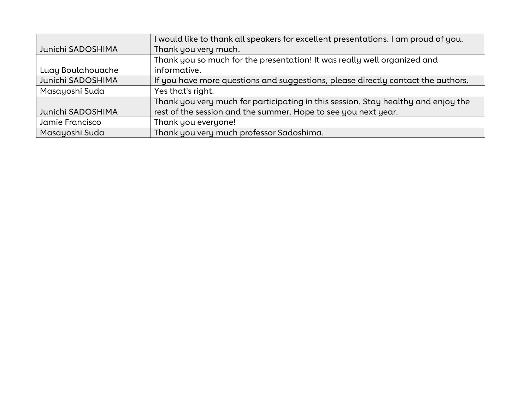|                   | I would like to thank all speakers for excellent presentations. I am proud of you. |
|-------------------|------------------------------------------------------------------------------------|
| Junichi SADOSHIMA | Thank you very much.                                                               |
|                   | Thank you so much for the presentation! It was really well organized and           |
| Luay Boulahouache | informative.                                                                       |
| Junichi SADOSHIMA | If you have more questions and suggestions, please directly contact the authors.   |
| Masayoshi Suda    | Yes that's right.                                                                  |
|                   | Thank you very much for participating in this session. Stay healthy and enjoy the  |
| Junichi SADOSHIMA | rest of the session and the summer. Hope to see you next year.                     |
| Jamie Francisco   | Thank you everyone!                                                                |
| Masayoshi Suda    | Thank you very much professor Sadoshima.                                           |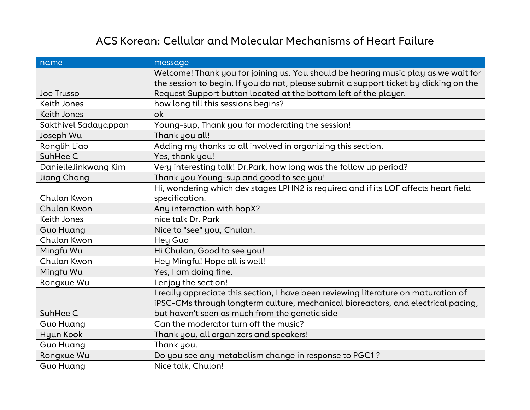# ACS Korean: Cellular and Molecular Mechanisms of Heart Failure

| name                 | message                                                                                |
|----------------------|----------------------------------------------------------------------------------------|
|                      | Welcome! Thank you for joining us. You should be hearing music play as we wait for     |
|                      | the session to begin. If you do not, please submit a support ticket by clicking on the |
| <b>Joe Trusso</b>    | Request Support button located at the bottom left of the player.                       |
| <b>Keith Jones</b>   | how long till this sessions begins?                                                    |
| <b>Keith Jones</b>   | ok                                                                                     |
| Sakthivel Sadayappan | Young-sup, Thank you for moderating the session!                                       |
| Joseph Wu            | Thank you all!                                                                         |
| Ronglih Liao         | Adding my thanks to all involved in organizing this section.                           |
| SuhHee C             | Yes, thank you!                                                                        |
| DanielleJinkwang Kim | Very interesting talk! Dr. Park, how long was the follow up period?                    |
| <b>Jiang Chang</b>   | Thank you Young-sup and good to see you!                                               |
|                      | Hi, wondering which dev stages LPHN2 is required and if its LOF affects heart field    |
| Chulan Kwon          | specification.                                                                         |
| Chulan Kwon          | Any interaction with hopX?                                                             |
| <b>Keith Jones</b>   | nice talk Dr. Park                                                                     |
| <b>Guo Huang</b>     | Nice to "see" you, Chulan.                                                             |
| Chulan Kwon          | Hey Guo                                                                                |
| Mingfu Wu            | Hi Chulan, Good to see you!                                                            |
| Chulan Kwon          | Hey Mingfu! Hope all is well!                                                          |
| Mingfu Wu            | Yes, I am doing fine.                                                                  |
| Rongxue Wu           | I enjoy the section!                                                                   |
|                      | I really appreciate this section, I have been reviewing literature on maturation of    |
|                      | iPSC-CMs through longterm culture, mechanical bioreactors, and electrical pacing,      |
| SuhHee C             | but haven't seen as much from the genetic side                                         |
| <b>Guo Huang</b>     | Can the moderator turn off the music?                                                  |
| Hyun Kook            | Thank you, all organizers and speakers!                                                |
| Guo Huang            | Thank you.                                                                             |
| Rongxue Wu           | Do you see any metabolism change in response to PGC1?                                  |
| <b>Guo Huang</b>     | Nice talk, Chulon!                                                                     |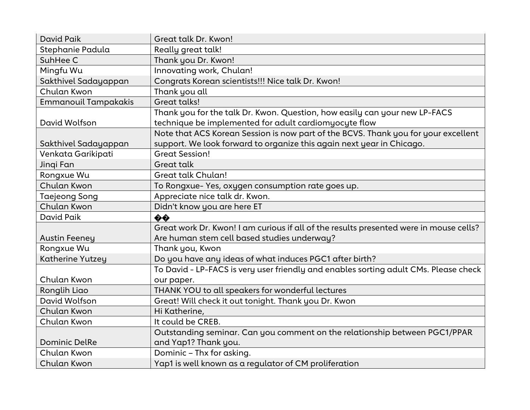| David Paik                  | Great talk Dr. Kwon!                                                                   |
|-----------------------------|----------------------------------------------------------------------------------------|
| Stephanie Padula            | Really great talk!                                                                     |
| SuhHee C                    | Thank you Dr. Kwon!                                                                    |
| Mingfu Wu                   | Innovating work, Chulan!                                                               |
| Sakthivel Sadayappan        | Congrats Korean scientists!!! Nice talk Dr. Kwon!                                      |
| Chulan Kwon                 | Thank you all                                                                          |
| <b>Emmanouil Tampakakis</b> | Great talks!                                                                           |
|                             | Thank you for the talk Dr. Kwon. Question, how easily can your new LP-FACS             |
| David Wolfson               | technique be implemented for adult cardiomyocyte flow                                  |
|                             | Note that ACS Korean Session is now part of the BCVS. Thank you for your excellent     |
| Sakthivel Sadayappan        | support. We look forward to organize this again next year in Chicago.                  |
| Venkata Garikipati          | <b>Great Session!</b>                                                                  |
| Jingi Fan                   | <b>Great talk</b>                                                                      |
| Rongxue Wu                  | <b>Great talk Chulan!</b>                                                              |
| Chulan Kwon                 | To Rongxue-Yes, oxygen consumption rate goes up.                                       |
| <b>Taejeong Song</b>        | Appreciate nice talk dr. Kwon.                                                         |
|                             |                                                                                        |
| Chulan Kwon                 | Didn't know you are here ET                                                            |
| David Paik                  | $\ddot{\bullet} \dot{\bullet}$                                                         |
|                             | Great work Dr. Kwon! I am curious if all of the results presented were in mouse cells? |
| <b>Austin Feeney</b>        | Are human stem cell based studies underway?                                            |
| Rongxue Wu                  | Thank you, Kwon                                                                        |
| Katherine Yutzey            | Do you have any ideas of what induces PGC1 after birth?                                |
|                             | To David - LP-FACS is very user friendly and enables sorting adult CMs. Please check   |
| Chulan Kwon                 | our paper.                                                                             |
| Ronglih Liao                | THANK YOU to all speakers for wonderful lectures                                       |
| David Wolfson               | Great! Will check it out tonight. Thank you Dr. Kwon                                   |
| Chulan Kwon                 | Hi Katherine,                                                                          |
| Chulan Kwon                 | It could be CREB.                                                                      |
|                             | Outstanding seminar. Can you comment on the relationship between PGC1/PPAR             |
| <b>Dominic DelRe</b>        | and Yap1? Thank you.                                                                   |
| Chulan Kwon                 | Dominic - Thx for asking.                                                              |